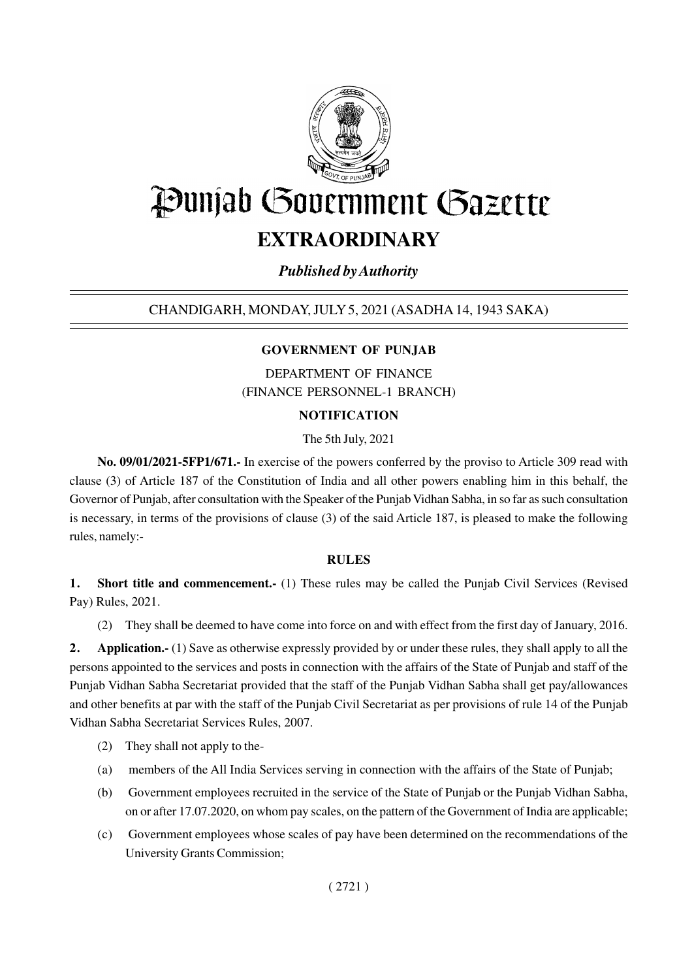

# Punjab Government Gazette **EXTRAORDINARY**

# *Published by Authority*

# CHANDIGARH, MONDAY, JULY 5, 2021 (ASADHA 14, 1943 SAKA)

# **GOVERNMENT OF PUNJAB**

DEPARTMENT OF FINANCE (FINANCE PERSONNEL-1 BRANCH)

# **NOTIFICATION**

The 5th July, 2021

**No. 09/01/2021-5FP1/671.-** In exercise of the powers conferred by the proviso to Article 309 read with clause (3) of Article 187 of the Constitution of India and all other powers enabling him in this behalf, the Governor of Punjab, after consultation with the Speaker of the Punjab Vidhan Sabha, in so far as such consultation is necessary, in terms of the provisions of clause (3) of the said Article 187, is pleased to make the following rules, namely:-

#### **RULES**

**1. Short title and commencement.-** (1) These rules may be called the Punjab Civil Services (Revised Pay) Rules, 2021.

(2) They shall be deemed to have come into force on and with effect from the first day of January, 2016.

**2. Application.-** (1) Save as otherwise expressly provided by or under these rules, they shall apply to all the persons appointed to the services and posts in connection with the affairs of the State of Punjab and staff of the Punjab Vidhan Sabha Secretariat provided that the staff of the Punjab Vidhan Sabha shall get pay/allowances and other benefits at par with the staff of the Punjab Civil Secretariat as per provisions of rule 14 of the Punjab Vidhan Sabha Secretariat Services Rules, 2007.

- (2) They shall not apply to the-
- (a) members of the All India Services serving in connection with the affairs of the State of Punjab;
- (b) Government employees recruited in the service of the State of Punjab or the Punjab Vidhan Sabha, on or after 17.07.2020, on whom pay scales, on the pattern of the Government of India are applicable;
- (c) Government employees whose scales of pay have been determined on the recommendations of the University Grants Commission;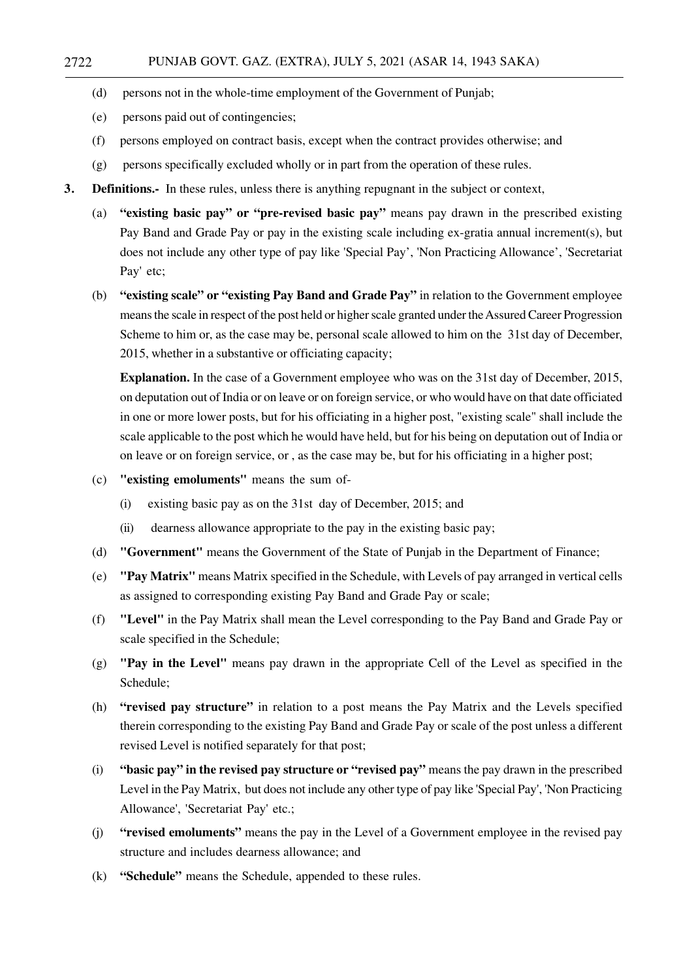- (d) persons not in the whole-time employment of the Government of Punjab;
- (e) persons paid out of contingencies;
- (f) persons employed on contract basis, except when the contract provides otherwise; and
- (g) persons specifically excluded wholly or in part from the operation of these rules.
- **3. Definitions.-** In these rules, unless there is anything repugnant in the subject or context,
	- (a) **"existing basic pay" or "pre-revised basic pay"** means pay drawn in the prescribed existing Pay Band and Grade Pay or pay in the existing scale including ex-gratia annual increment(s), but does not include any other type of pay like 'Special Pay', 'Non Practicing Allowance', 'Secretariat Pay' etc;
	- (b) **"existing scale" or "existing Pay Band and Grade Pay"** in relation to the Government employee means the scale in respect of the post held or higher scale granted under the Assured Career Progression Scheme to him or, as the case may be, personal scale allowed to him on the 31st day of December, 2015, whether in a substantive or officiating capacity;

**Explanation.** In the case of a Government employee who was on the 31st day of December, 2015, on deputation out of India or on leave or on foreign service, or who would have on that date officiated in one or more lower posts, but for his officiating in a higher post, "existing scale" shall include the scale applicable to the post which he would have held, but for his being on deputation out of India or on leave or on foreign service, or , as the case may be, but for his officiating in a higher post;

- (c) **"existing emoluments"** means the sum of-
	- (i) existing basic pay as on the 31st day of December, 2015; and
	- (ii) dearness allowance appropriate to the pay in the existing basic pay;
- (d) **"Government"** means the Government of the State of Punjab in the Department of Finance;
- (e) **"Pay Matrix"** means Matrix specified in the Schedule, with Levels of pay arranged in vertical cells as assigned to corresponding existing Pay Band and Grade Pay or scale;
- (f) **"Level"** in the Pay Matrix shall mean the Level corresponding to the Pay Band and Grade Pay or scale specified in the Schedule;
- (g) **"Pay in the Level"** means pay drawn in the appropriate Cell of the Level as specified in the Schedule;
- (h) **"revised pay structure"** in relation to a post means the Pay Matrix and the Levels specified therein corresponding to the existing Pay Band and Grade Pay or scale of the post unless a different revised Level is notified separately for that post;
- (i) **"basic pay" in the revised pay structure or "revised pay"** means the pay drawn in the prescribed Level in the Pay Matrix, but does not include any other type of pay like 'Special Pay', 'Non Practicing Allowance', 'Secretariat Pay' etc.;
- (j) **"revised emoluments"** means the pay in the Level of a Government employee in the revised pay structure and includes dearness allowance; and
- (k) **"Schedule"** means the Schedule, appended to these rules.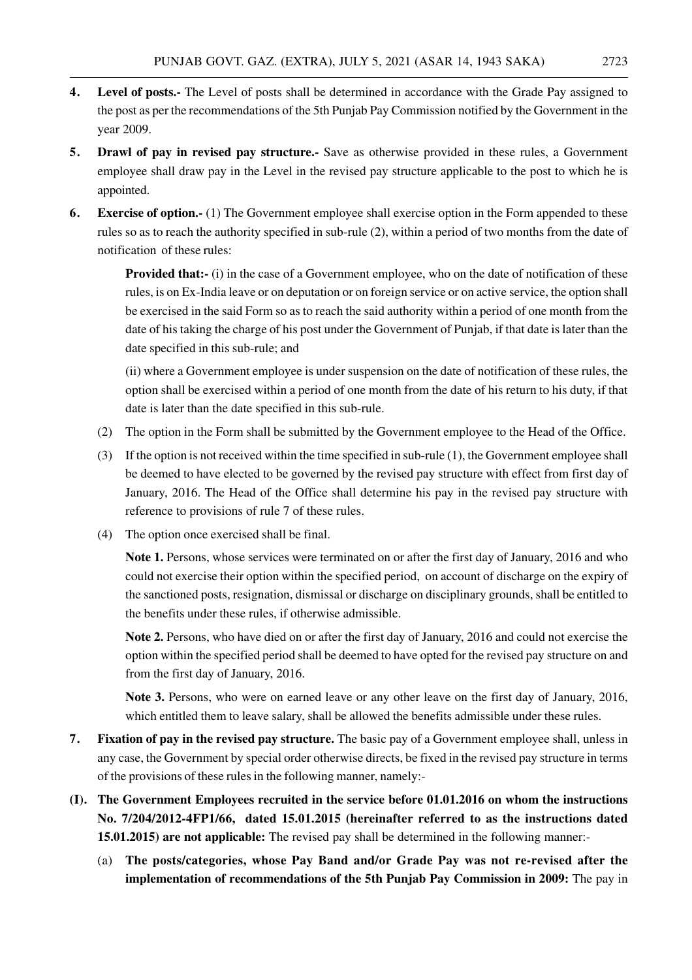- **4. Level of posts.-** The Level of posts shall be determined in accordance with the Grade Pay assigned to the post as per the recommendations of the 5th Punjab Pay Commission notified by the Government in the year 2009.
- **5. Drawl of pay in revised pay structure.-** Save as otherwise provided in these rules, a Government employee shall draw pay in the Level in the revised pay structure applicable to the post to which he is appointed.
- **6. Exercise of option.-** (1) The Government employee shall exercise option in the Form appended to these rules so as to reach the authority specified in sub-rule (2), within a period of two months from the date of notification of these rules:

**Provided that:-** (i) in the case of a Government employee, who on the date of notification of these rules, is on Ex-India leave or on deputation or on foreign service or on active service, the option shall be exercised in the said Form so as to reach the said authority within a period of one month from the date of his taking the charge of his post under the Government of Punjab, if that date is later than the date specified in this sub-rule; and

(ii) where a Government employee is under suspension on the date of notification of these rules, the option shall be exercised within a period of one month from the date of his return to his duty, if that date is later than the date specified in this sub-rule.

- (2) The option in the Form shall be submitted by the Government employee to the Head of the Office.
- (3) If the option is not received within the time specified in sub-rule (1), the Government employee shall be deemed to have elected to be governed by the revised pay structure with effect from first day of January, 2016. The Head of the Office shall determine his pay in the revised pay structure with reference to provisions of rule 7 of these rules.
- (4) The option once exercised shall be final.

**Note 1.** Persons, whose services were terminated on or after the first day of January, 2016 and who could not exercise their option within the specified period, on account of discharge on the expiry of the sanctioned posts, resignation, dismissal or discharge on disciplinary grounds, shall be entitled to the benefits under these rules, if otherwise admissible.

**Note 2.** Persons, who have died on or after the first day of January, 2016 and could not exercise the option within the specified period shall be deemed to have opted for the revised pay structure on and from the first day of January, 2016.

**Note 3.** Persons, who were on earned leave or any other leave on the first day of January, 2016, which entitled them to leave salary, shall be allowed the benefits admissible under these rules.

- **7. Fixation of pay in the revised pay structure.** The basic pay of a Government employee shall, unless in any case, the Government by special order otherwise directs, be fixed in the revised pay structure in terms of the provisions of these rules in the following manner, namely:-
- **(I). The Government Employees recruited in the service before 01.01.2016 on whom the instructions No. 7/204/2012-4FP1/66, dated 15.01.2015 (hereinafter referred to as the instructions dated 15.01.2015) are not applicable:** The revised pay shall be determined in the following manner:-
	- (a) **The posts/categories, whose Pay Band and/or Grade Pay was not re-revised after the implementation of recommendations of the 5th Punjab Pay Commission in 2009:** The pay in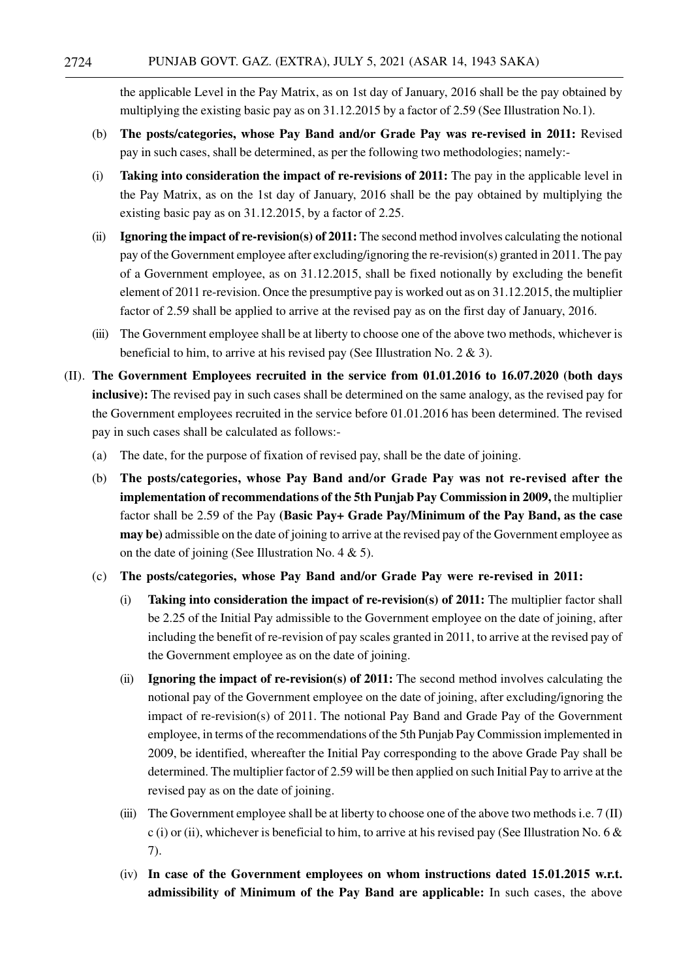the applicable Level in the Pay Matrix, as on 1st day of January, 2016 shall be the pay obtained by multiplying the existing basic pay as on 31.12.2015 by a factor of 2.59 (See Illustration No.1).

- (b) **The posts/categories, whose Pay Band and/or Grade Pay was re-revised in 2011:** Revised pay in such cases, shall be determined, as per the following two methodologies; namely:-
- (i) **Taking into consideration the impact of re-revisions of 2011:** The pay in the applicable level in the Pay Matrix, as on the 1st day of January, 2016 shall be the pay obtained by multiplying the existing basic pay as on 31.12.2015, by a factor of 2.25.
- (ii) **Ignoring the impact of re-revision(s) of 2011:** The second method involves calculating the notional pay of the Government employee after excluding/ignoring the re-revision(s) granted in 2011. The pay of a Government employee, as on 31.12.2015, shall be fixed notionally by excluding the benefit element of 2011 re-revision. Once the presumptive pay is worked out as on 31.12.2015, the multiplier factor of 2.59 shall be applied to arrive at the revised pay as on the first day of January, 2016.
- (iii) The Government employee shall be at liberty to choose one of the above two methods, whichever is beneficial to him, to arrive at his revised pay (See Illustration No. 2 & 3).
- (II). **The Government Employees recruited in the service from 01.01.2016 to 16.07.2020 (both days inclusive):** The revised pay in such cases shall be determined on the same analogy, as the revised pay for the Government employees recruited in the service before 01.01.2016 has been determined. The revised pay in such cases shall be calculated as follows:-
	- (a) The date, for the purpose of fixation of revised pay, shall be the date of joining.
	- (b) **The posts/categories, whose Pay Band and/or Grade Pay was not re-revised after the implementation of recommendations of the 5th Punjab Pay Commission in 2009,** the multiplier factor shall be 2.59 of the Pay **(Basic Pay+ Grade Pay/Minimum of the Pay Band, as the case may be)** admissible on the date of joining to arrive at the revised pay of the Government employee as on the date of joining (See Illustration No. 4  $\&$  5).
	- (c) **The posts/categories, whose Pay Band and/or Grade Pay were re-revised in 2011:**
		- (i) **Taking into consideration the impact of re-revision(s) of 2011:** The multiplier factor shall be 2.25 of the Initial Pay admissible to the Government employee on the date of joining, after including the benefit of re-revision of pay scales granted in 2011, to arrive at the revised pay of the Government employee as on the date of joining.
		- (ii) **Ignoring the impact of re-revision(s) of 2011:** The second method involves calculating the notional pay of the Government employee on the date of joining, after excluding/ignoring the impact of re-revision(s) of 2011. The notional Pay Band and Grade Pay of the Government employee, in terms of the recommendations of the 5th Punjab Pay Commission implemented in 2009, be identified, whereafter the Initial Pay corresponding to the above Grade Pay shall be determined. The multiplier factor of 2.59 will be then applied on such Initial Pay to arrive at the revised pay as on the date of joining.
		- (iii) The Government employee shall be at liberty to choose one of the above two methods i.e.  $7 \text{ (II)}$ c (i) or (ii), whichever is beneficial to him, to arrive at his revised pay (See Illustration No. 6  $\&$ 7).
		- (iv) **In case of the Government employees on whom instructions dated 15.01.2015 w.r.t. admissibility of Minimum of the Pay Band are applicable:** In such cases, the above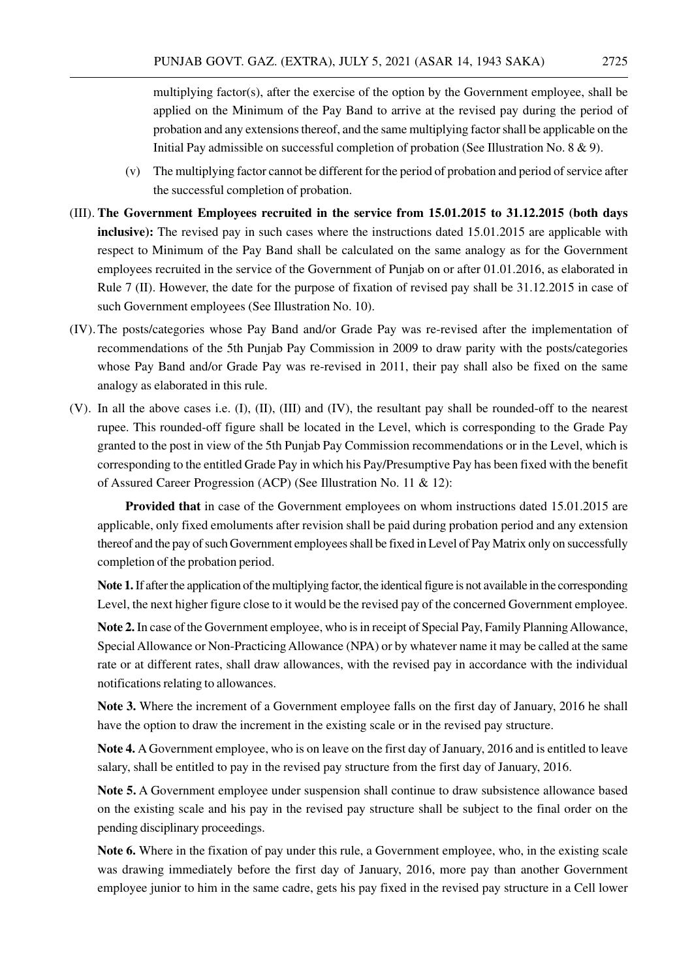multiplying factor(s), after the exercise of the option by the Government employee, shall be applied on the Minimum of the Pay Band to arrive at the revised pay during the period of probation and any extensions thereof, and the same multiplying factor shall be applicable on the Initial Pay admissible on successful completion of probation (See Illustration No. 8 & 9).

- (v) The multiplying factor cannot be different for the period of probation and period of service after the successful completion of probation.
- (III). **The Government Employees recruited in the service from 15.01.2015 to 31.12.2015 (both days inclusive**): The revised pay in such cases where the instructions dated 15.01.2015 are applicable with respect to Minimum of the Pay Band shall be calculated on the same analogy as for the Government employees recruited in the service of the Government of Punjab on or after 01.01.2016, as elaborated in Rule 7 (II). However, the date for the purpose of fixation of revised pay shall be 31.12.2015 in case of such Government employees (See Illustration No. 10).
- (IV).The posts/categories whose Pay Band and/or Grade Pay was re-revised after the implementation of recommendations of the 5th Punjab Pay Commission in 2009 to draw parity with the posts/categories whose Pay Band and/or Grade Pay was re-revised in 2011, their pay shall also be fixed on the same analogy as elaborated in this rule.
- (V). In all the above cases i.e. (I), (II), (III) and (IV), the resultant pay shall be rounded-off to the nearest rupee. This rounded-off figure shall be located in the Level, which is corresponding to the Grade Pay granted to the post in view of the 5th Punjab Pay Commission recommendations or in the Level, which is corresponding to the entitled Grade Pay in which his Pay/Presumptive Pay has been fixed with the benefit of Assured Career Progression (ACP) (See Illustration No. 11 & 12):

**Provided that** in case of the Government employees on whom instructions dated 15.01.2015 are applicable, only fixed emoluments after revision shall be paid during probation period and any extension thereof and the pay of such Government employees shall be fixed in Level of Pay Matrix only on successfully completion of the probation period.

**Note 1.** If after the application of the multiplying factor, the identical figure is not available in the corresponding Level, the next higher figure close to it would be the revised pay of the concerned Government employee.

**Note 2.** In case of the Government employee, who is in receipt of Special Pay, Family Planning Allowance, Special Allowance or Non-Practicing Allowance (NPA) or by whatever name it may be called at the same rate or at different rates, shall draw allowances, with the revised pay in accordance with the individual notifications relating to allowances.

**Note 3.** Where the increment of a Government employee falls on the first day of January, 2016 he shall have the option to draw the increment in the existing scale or in the revised pay structure.

**Note 4.** A Government employee, who is on leave on the first day of January, 2016 and is entitled to leave salary, shall be entitled to pay in the revised pay structure from the first day of January, 2016.

**Note 5.** A Government employee under suspension shall continue to draw subsistence allowance based on the existing scale and his pay in the revised pay structure shall be subject to the final order on the pending disciplinary proceedings.

**Note 6.** Where in the fixation of pay under this rule, a Government employee, who, in the existing scale was drawing immediately before the first day of January, 2016, more pay than another Government employee junior to him in the same cadre, gets his pay fixed in the revised pay structure in a Cell lower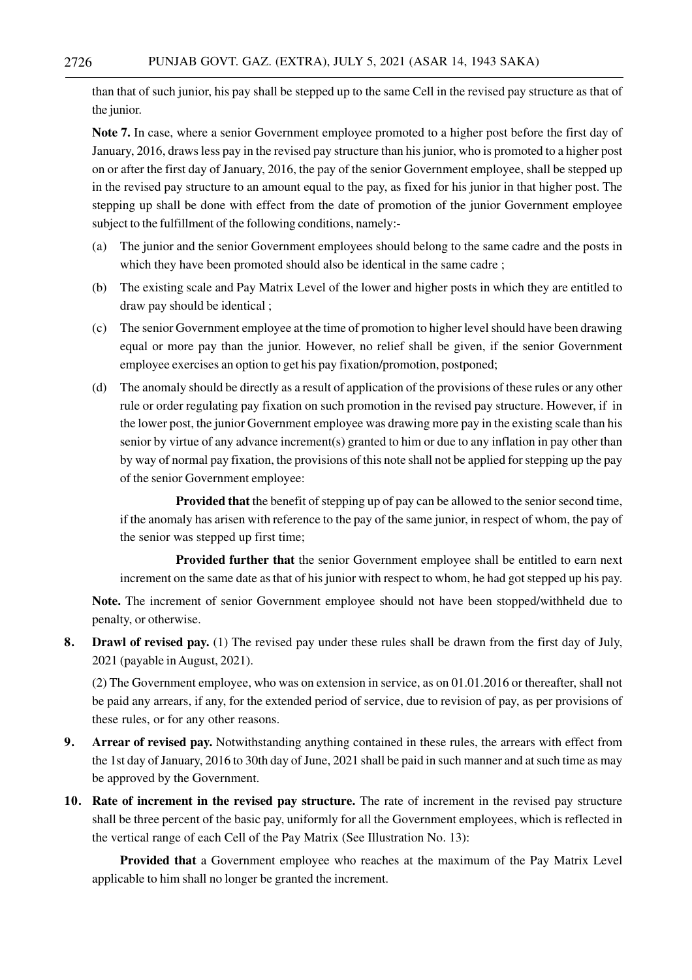than that of such junior, his pay shall be stepped up to the same Cell in the revised pay structure as that of the junior.

**Note 7.** In case, where a senior Government employee promoted to a higher post before the first day of January, 2016, draws less pay in the revised pay structure than his junior, who is promoted to a higher post on or after the first day of January, 2016, the pay of the senior Government employee, shall be stepped up in the revised pay structure to an amount equal to the pay, as fixed for his junior in that higher post. The stepping up shall be done with effect from the date of promotion of the junior Government employee subject to the fulfillment of the following conditions, namely:-

- (a) The junior and the senior Government employees should belong to the same cadre and the posts in which they have been promoted should also be identical in the same cadre;
- (b) The existing scale and Pay Matrix Level of the lower and higher posts in which they are entitled to draw pay should be identical ;
- (c) The senior Government employee at the time of promotion to higher level should have been drawing equal or more pay than the junior. However, no relief shall be given, if the senior Government employee exercises an option to get his pay fixation/promotion, postponed;
- (d) The anomaly should be directly as a result of application of the provisions of these rules or any other rule or order regulating pay fixation on such promotion in the revised pay structure. However, if in the lower post, the junior Government employee was drawing more pay in the existing scale than his senior by virtue of any advance increment(s) granted to him or due to any inflation in pay other than by way of normal pay fixation, the provisions of this note shall not be applied for stepping up the pay of the senior Government employee:

**Provided that** the benefit of stepping up of pay can be allowed to the senior second time, if the anomaly has arisen with reference to the pay of the same junior, in respect of whom, the pay of the senior was stepped up first time;

**Provided further that** the senior Government employee shall be entitled to earn next increment on the same date as that of his junior with respect to whom, he had got stepped up his pay.

**Note.** The increment of senior Government employee should not have been stopped/withheld due to penalty, or otherwise.

**8. Drawl of revised pay.** (1) The revised pay under these rules shall be drawn from the first day of July, 2021 (payable in August, 2021).

(2) The Government employee, who was on extension in service, as on 01.01.2016 or thereafter, shall not be paid any arrears, if any, for the extended period of service, due to revision of pay, as per provisions of these rules, or for any other reasons.

- **9. Arrear of revised pay.** Notwithstanding anything contained in these rules, the arrears with effect from the 1st day of January, 2016 to 30th day of June, 2021 shall be paid in such manner and at such time as may be approved by the Government.
- **10. Rate of increment in the revised pay structure.** The rate of increment in the revised pay structure shall be three percent of the basic pay, uniformly for all the Government employees, which is reflected in the vertical range of each Cell of the Pay Matrix (See Illustration No. 13):

**Provided that** a Government employee who reaches at the maximum of the Pay Matrix Level applicable to him shall no longer be granted the increment.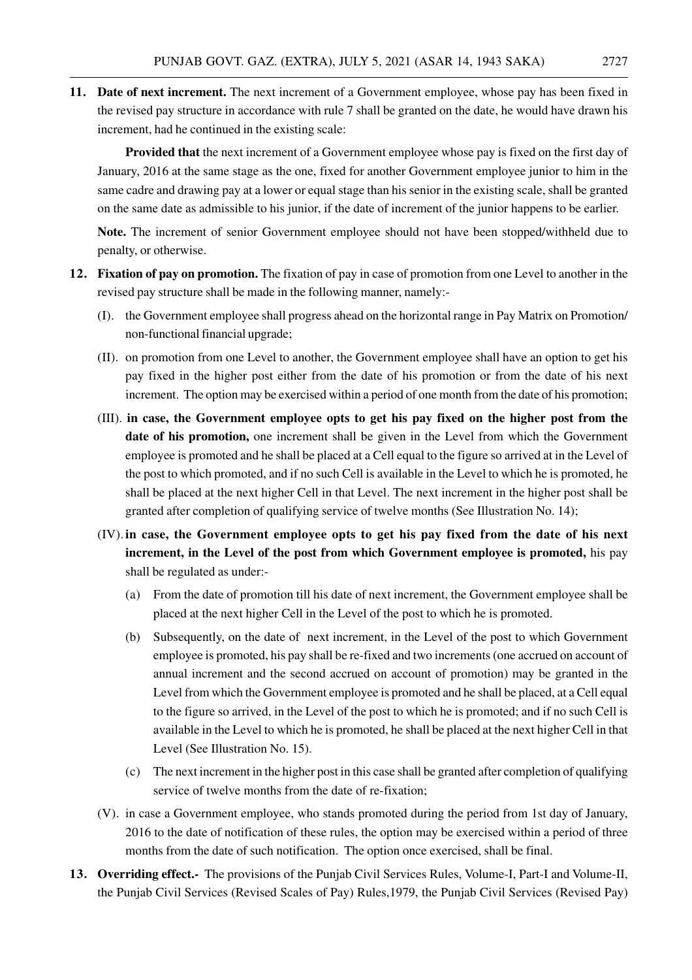**11. Date of next increment.** The next increment of a Government employee, whose pay has been fixed in the revised pay structure in accordance with rule 7 shall be granted on the date, he would have drawn his increment, had he continued in the existing scale:

**Provided that** the next increment of a Government employee whose pay is fixed on the first day of January, 2016 at the same stage as the one, fixed for another Government employee junior to him in the same cadre and drawing pay at a lower or equal stage than his senior in the existing scale, shall be granted on the same date as admissible to his junior, if the date of increment of the junior happens to be earlier.

**Note.** The increment of senior Government employee should not have been stopped/withheld due to penalty, or otherwise.

- **12. Fixation of pay on promotion.** The fixation of pay in case of promotion from one Level to another in the revised pay structure shall be made in the following manner, namely:-
	- (I). the Government employee shall progress ahead on the horizontal range in Pay Matrix on Promotion/ non-functional financial upgrade;
	- (II). on promotion from one Level to another, the Government employee shall have an option to get his pay fixed in the higher post either from the date of his promotion or from the date of his next increment. The option may be exercised within a period of one month from the date of his promotion;
	- (III). **in case, the Government employee opts to get his pay fixed on the higher post from the date of his promotion,** one increment shall be given in the Level from which the Government employee is promoted and he shall be placed at a Cell equal to the figure so arrived at in the Level of the post to which promoted, and if no such Cell is available in the Level to which he is promoted, he shall be placed at the next higher Cell in that Level. The next increment in the higher post shall be granted after completion of qualifying service of twelve months (See Illustration No. 14);
	- (IV). **in case, the Government employee opts to get his pay fixed from the date of his next increment, in the Level of the post from which Government employee is promoted,** his pay shall be regulated as under:-
		- (a) From the date of promotion till his date of next increment, the Government employee shall be placed at the next higher Cell in the Level of the post to which he is promoted.
		- (b) Subsequently, on the date of next increment, in the Level of the post to which Government employee is promoted, his pay shall be re-fixed and two increments (one accrued on account of annual increment and the second accrued on account of promotion) may be granted in the Level from which the Government employee is promoted and he shall be placed, at a Cell equal to the figure so arrived, in the Level of the post to which he is promoted; and if no such Cell is available in the Level to which he is promoted, he shall be placed at the next higher Cell in that Level (See Illustration No. 15).
		- (c) The next increment in the higher post in this case shall be granted after completion of qualifying service of twelve months from the date of re-fixation;
	- (V). in case a Government employee, who stands promoted during the period from 1st day of January, 2016 to the date of notification of these rules, the option may be exercised within a period of three months from the date of such notification. The option once exercised, shall be final.
- **13. Overriding effect.-** The provisions of the Punjab Civil Services Rules, Volume-I, Part-I and Volume-II, the Punjab Civil Services (Revised Scales of Pay) Rules,1979, the Punjab Civil Services (Revised Pay)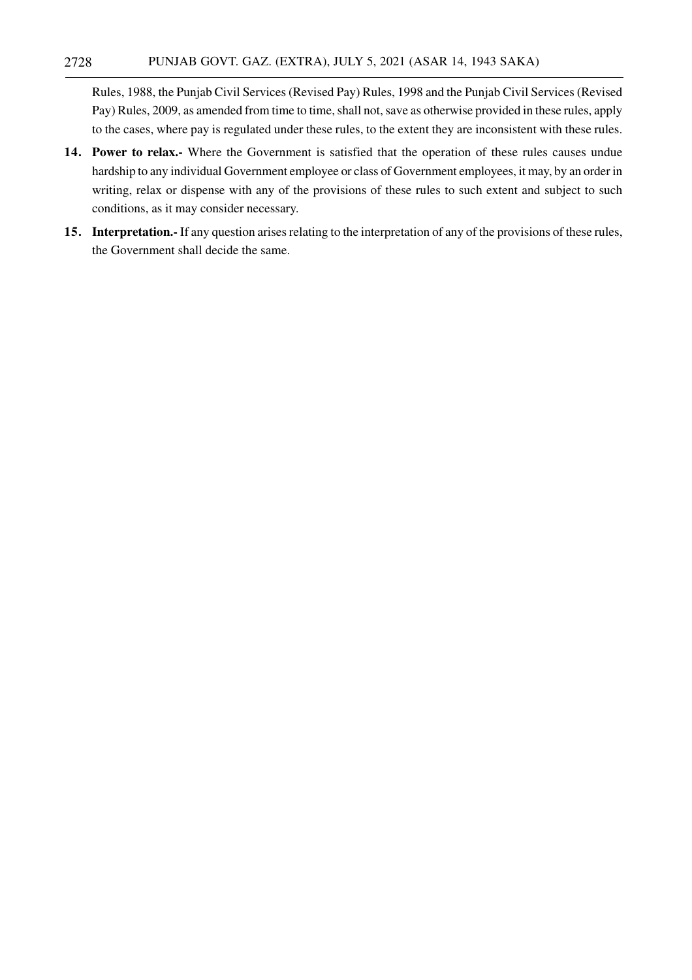Rules, 1988, the Punjab Civil Services (Revised Pay) Rules, 1998 and the Punjab Civil Services (Revised Pay) Rules, 2009, as amended from time to time, shall not, save as otherwise provided in these rules, apply to the cases, where pay is regulated under these rules, to the extent they are inconsistent with these rules.

- **14. Power to relax.-** Where the Government is satisfied that the operation of these rules causes undue hardship to any individual Government employee or class of Government employees, it may, by an order in writing, relax or dispense with any of the provisions of these rules to such extent and subject to such conditions, as it may consider necessary.
- **15. Interpretation.-** If any question arises relating to the interpretation of any of the provisions of these rules, the Government shall decide the same.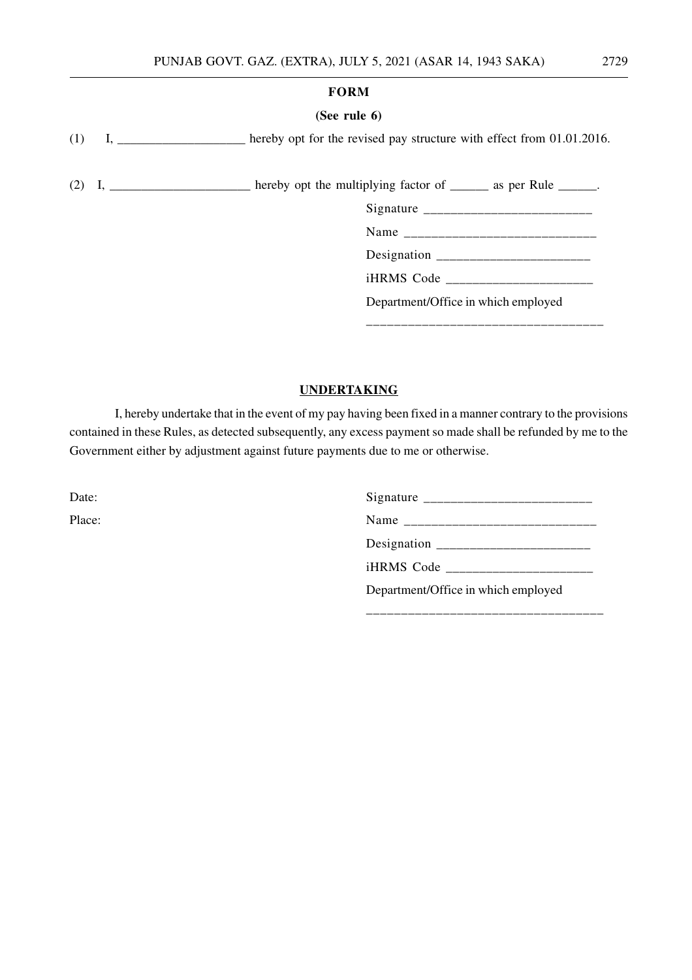#### **FORM**

#### **(See rule 6)**

(1) I, \_\_\_\_\_\_\_\_\_\_\_\_\_\_\_\_\_\_\_\_ hereby opt for the revised pay structure with effect from 01.01.2016.

(2) I, \_\_\_\_\_\_\_\_\_\_\_\_\_\_\_\_\_\_\_ hereby opt the multiplying factor of  $\_\_\_\_\_\$ as per Rule  $\_\_\_\_\_\$ .

Signature \_\_\_\_\_\_\_\_\_\_\_\_\_\_\_\_\_\_\_\_\_\_\_\_\_

Name

Designation \_\_\_\_\_\_\_\_\_\_\_\_\_\_\_\_\_\_\_\_\_\_\_

iHRMS Code \_\_\_\_\_\_\_\_\_\_\_\_\_\_\_\_\_\_\_\_\_\_

\_\_\_\_\_\_\_\_\_\_\_\_\_\_\_\_\_\_\_\_\_\_\_\_\_\_\_\_\_\_\_\_\_\_

Department/Office in which employed

# **UNDERTAKING**

I, hereby undertake that in the event of my pay having been fixed in a manner contrary to the provisions contained in these Rules, as detected subsequently, any excess payment so made shall be refunded by me to the Government either by adjustment against future payments due to me or otherwise.

Date: Signature \_\_\_\_\_\_\_\_\_\_\_\_\_\_\_\_\_\_\_\_\_\_\_\_\_ Place: Name \_\_\_\_\_\_\_\_\_\_\_\_\_\_\_\_\_\_\_\_\_\_\_\_\_\_\_\_ Designation  $\overline{\phantom{a} \phantom{a}}$ iHRMS Code \_\_\_\_\_\_\_\_\_\_\_\_\_\_\_\_\_\_\_\_\_\_

\_\_\_\_\_\_\_\_\_\_\_\_\_\_\_\_\_\_\_\_\_\_\_\_\_\_\_\_\_\_\_\_\_\_

Department/Office in which employed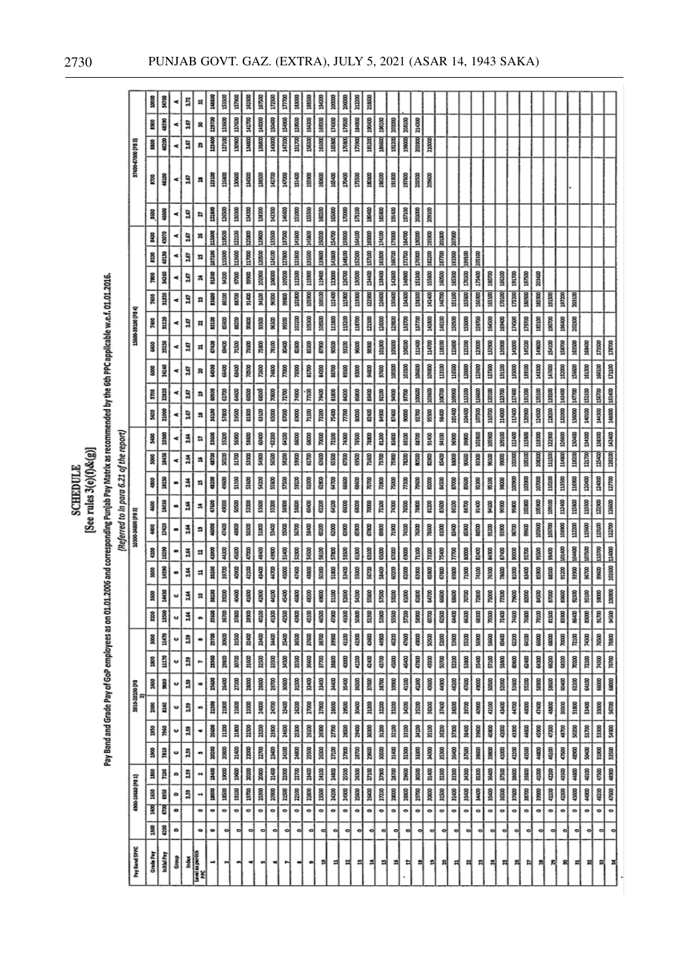|                                                                                                                                                          |                     | 10000         | š                         |    | 2.72           | ×                                  | 145300          | 153300       | 157900                                                                                                                                                                                                                                                                                                                                                                                                                                                                                                                                                                                      | 162100         | 36730                                                                                                                                                                                                                                                                                                                                                                                                                                                                                       | 172500                  | 177100      | 18300                   | 18500         | <b>SER</b>   | <b>ROOM</b>  | 200000          | <b>NZXK</b>    | 218600        |             |                                                                                                                                                                                  |                |                     |                |                   |                                                             |                             |                          |               |                                                                                       |                                                                |                                 |             |               |        |              |                                                                                                                                                                                                                                                                                                                                                                                                                                                                                             |                                                                                                   |                 |
|----------------------------------------------------------------------------------------------------------------------------------------------------------|---------------------|---------------|---------------------------|----|----------------|------------------------------------|-----------------|--------------|---------------------------------------------------------------------------------------------------------------------------------------------------------------------------------------------------------------------------------------------------------------------------------------------------------------------------------------------------------------------------------------------------------------------------------------------------------------------------------------------------------------------------------------------------------------------------------------------|----------------|---------------------------------------------------------------------------------------------------------------------------------------------------------------------------------------------------------------------------------------------------------------------------------------------------------------------------------------------------------------------------------------------------------------------------------------------------------------------------------------------|-------------------------|-------------|-------------------------|---------------|--------------|--------------|-----------------|----------------|---------------|-------------|----------------------------------------------------------------------------------------------------------------------------------------------------------------------------------|----------------|---------------------|----------------|-------------------|-------------------------------------------------------------|-----------------------------|--------------------------|---------------|---------------------------------------------------------------------------------------|----------------------------------------------------------------|---------------------------------|-------------|---------------|--------|--------------|---------------------------------------------------------------------------------------------------------------------------------------------------------------------------------------------------------------------------------------------------------------------------------------------------------------------------------------------------------------------------------------------------------------------------------------------------------------------------------------------|---------------------------------------------------------------------------------------------------|-----------------|
|                                                                                                                                                          |                     | 8800          | 45%                       |    | 2.67           | R                                  | 00/021          | 133600       | 137600                                                                                                                                                                                                                                                                                                                                                                                                                                                                                                                                                                                      | 141700         | 14/000                                                                                                                                                                                                                                                                                                                                                                                                                                                                                      | 150400                  | 154900      | 159500                  | 164300        | 169700       | 174300       | 179500          | 184900         | 190400        | 196100      | 202000                                                                                                                                                                           | 208100         | 214300              |                |                   |                                                             |                             |                          |               |                                                                                       |                                                                |                                 |             |               |        |              |                                                                                                                                                                                                                                                                                                                                                                                                                                                                                             |                                                                                                   |                 |
|                                                                                                                                                          |                     | S             | 44300                     |    | 2.67           | R                                  | 123400          | 127100       | 130900                                                                                                                                                                                                                                                                                                                                                                                                                                                                                                                                                                                      | <u>зию</u>     | 1MM                                                                                                                                                                                                                                                                                                                                                                                                                                                                                         | 14000                   | 147300      | <b>BZDB</b>             | 156320        | 161000       | 1,65800      | 170800          | 175900         | 111200        | 18600       | 192200                                                                                                                                                                           | 19800          | 10080               | 210000         |                   |                                                             |                             |                          |               |                                                                                       |                                                                |                                 |             |               |        |              |                                                                                                                                                                                                                                                                                                                                                                                                                                                                                             |                                                                                                   |                 |
|                                                                                                                                                          | 37400-67000 (PB 5)  | <b>SCS</b>    | 461DD                     |    | $\overline{a}$ | ä                                  | 121100          | 116800       | 130600                                                                                                                                                                                                                                                                                                                                                                                                                                                                                                                                                                                      | SSIG           | 131500                                                                                                                                                                                                                                                                                                                                                                                                                                                                                      | 142700                  | 147000      | 151400                  | 155000        | 100600       | 165400       | <b>DOPOLT</b>   | 175500         | 180800        | 186200      | 191800                                                                                                                                                                           | 197600         | aasaa               | 209600         |                   |                                                             |                             |                          |               |                                                                                       |                                                                |                                 |             |               |        |              |                                                                                                                                                                                                                                                                                                                                                                                                                                                                                             |                                                                                                   |                 |
|                                                                                                                                                          |                     | S.            | 48000                     |    | 2.67           | n                                  | 121800          | 126500       | 130300                                                                                                                                                                                                                                                                                                                                                                                                                                                                                                                                                                                      | 134200         | 138200                                                                                                                                                                                                                                                                                                                                                                                                                                                                                      | 142300                  | 146000      | 151000                  | 155500        | 1,02300      | 165000       | 170000          | 175100         | 100400        | 185800      | 191400                                                                                                                                                                           | 197100         | 20,000              | 20100          |                   |                                                             |                             |                          |               |                                                                                       |                                                                |                                 |             |               |        |              |                                                                                                                                                                                                                                                                                                                                                                                                                                                                                             |                                                                                                   |                 |
|                                                                                                                                                          |                     | ş             | 43070                     |    | 147            | ×                                  | 115000          | 118500       | 122100                                                                                                                                                                                                                                                                                                                                                                                                                                                                                                                                                                                      | 12500          | 129600                                                                                                                                                                                                                                                                                                                                                                                                                                                                                      | 13500                   | 137500      | 341600                  | 345800        | 150000       | 154700       | 15900           | 164100         | 163000        | 174100      | 179300                                                                                                                                                                           | 184700         | 190300              | 195900         | 201800            | 207900                                                      |                             |                          |               |                                                                                       |                                                                |                                 |             |               |        |              |                                                                                                                                                                                                                                                                                                                                                                                                                                                                                             |                                                                                                   |                 |
|                                                                                                                                                          |                     | 8200          | 40130                     |    | 2.67           | n                                  | <b>SOLLER</b>   | 110300       | 113600                                                                                                                                                                                                                                                                                                                                                                                                                                                                                                                                                                                      | 117000         | 120500                                                                                                                                                                                                                                                                                                                                                                                                                                                                                      | 124100                  | 127800      | 13,600                  | 135500        | 139000       | 143800       | 145100          | 152500         |               | 161500      | 166700                                                                                                                                                                           | 171700         | 176900              | 182200         | 187700            | 193300                                                      | 199100                      | 205100                   |               |                                                                                       |                                                                |                                 |             |               |        |              |                                                                                                                                                                                                                                                                                                                                                                                                                                                                                             |                                                                                                   |                 |
|                                                                                                                                                          |                     | 7800          | <b>SASK</b>               |    | 247            | ¥,                                 | 91500           | 9100         | 97000                                                                                                                                                                                                                                                                                                                                                                                                                                                                                                                                                                                       | 8900           | 102500                                                                                                                                                                                                                                                                                                                                                                                                                                                                                      | 106000                  | 109200      | 112500                  | 115900        | 119400       | 13000        | 126700          | 130500         | 134400 157100 | 138400      | 142600                                                                                                                                                                           | 146900         | 151300              | 155800         | 160500            | 165300                                                      | 170300                      | 175400                   | 180700        | 185100                                                                                | 191700                                                         | 197500                          | 20102       |               |        |              |                                                                                                                                                                                                                                                                                                                                                                                                                                                                                             |                                                                                                   |                 |
|                                                                                                                                                          |                     | 7600          | <b>HIII</b>               |    | 247            | a                                  | 380             | 86100        | 88700                                                                                                                                                                                                                                                                                                                                                                                                                                                                                                                                                                                       | 91400          | <b>BER</b>                                                                                                                                                                                                                                                                                                                                                                                                                                                                                  | 9830                    | 99800       | max                     | 105900        | 109100       | 112400       | 115800          | DOGGTT         | 122900        | 126600      | 130400                                                                                                                                                                           | 134300         | 13000               | 142400         | 146700            | 151100                                                      | <b>ISS600</b>               | 160,000                  | 165100        | 170100                                                                                | 175200                                                         | 180500                          | 18500       | 191500        | 197200 | 203100       |                                                                                                                                                                                                                                                                                                                                                                                                                                                                                             |                                                                                                   |                 |
|                                                                                                                                                          | 15000-19100 (PB4)   | å             | m                         |    | 147            | n                                  | 83100           | 65600        | 88200                                                                                                                                                                                                                                                                                                                                                                                                                                                                                                                                                                                       | gatop          | 91500                                                                                                                                                                                                                                                                                                                                                                                                                                                                                       | 88300                   | 9700        | 102200                  | 105100        | 100500       | 11300        | 11500           | 116700         | 12200         | 120000      | 12800                                                                                                                                                                            | 137700         | <b>DOLET</b>        | 141800         | 145100            | 150500                                                      | 155000                      | 159700                   | 154500        | 169400                                                                                | 174500                                                         | 179700                          | 185100      | 190700        | 196400 | 20200        |                                                                                                                                                                                                                                                                                                                                                                                                                                                                                             |                                                                                                   |                 |
| Pay Band and Grade Pay of GoP employees as on 01.01.2006 and corresponding Punjab Pay Matrix as recommended by the 6th PPC applicable w.e.f. 01.01.2016. |                     | G             | 3130                      |    | 2.67           | 치                                  | 67400           | 8400         | 71500                                                                                                                                                                                                                                                                                                                                                                                                                                                                                                                                                                                       | 7100           | 震                                                                                                                                                                                                                                                                                                                                                                                                                                                                                           | 78100                   | 80400       | 5300                    | 85300         | 87900        | 92500        | 83200           | 9600           | 98,90         | 101900      | 105000                                                                                                                                                                           | 108200         | 111400              | 114700         | 118100            | 121600                                                      | $13500$                     | 12000                    | 112500        | 136900                                                                                | 141000                                                         | 145200                          | 149600      | 154100        | 158700 | 163500       | 168400                                                                                                                                                                                                                                                                                                                                                                                                                                                                                      | 171500<br>178700                                                                                  |                 |
|                                                                                                                                                          |                     | 8             | 34140                     |    | 147            | g                                  | <b>GRSO</b>     | 8400         | 68400                                                                                                                                                                                                                                                                                                                                                                                                                                                                                                                                                                                       | <b>DOGOL</b>   | 72600                                                                                                                                                                                                                                                                                                                                                                                                                                                                                       | 74800                   | 77000       | $\frac{8}{100}$         | 81700         | 84200        | 85700        | 89300           | 9200           | 94800         | 97600       | 100500                                                                                                                                                                           | 103500         | 106600              | 109800         | <b>EXECUTE</b>    | 116500                                                      | 120000                      | 121600                   | 127300        | <b>SHOP</b>                                                                           | 33000                                                          | 139100                          | 341300      | 147600        | 152000 | 156000       | 161300                                                                                                                                                                                                                                                                                                                                                                                                                                                                                      | $\begin{array}{c c} \hline \text{RHS} & \text{RHS} \\ \hline \text{RHS} & \text{RHS} \end{array}$ |                 |
|                                                                                                                                                          |                     | 5700          | 23320                     |    | 2.67           | ភ                                  | 8               | axo          | 8                                                                                                                                                                                                                                                                                                                                                                                                                                                                                                                                                                                           | 65500          | 68500                                                                                                                                                                                                                                                                                                                                                                                                                                                                                       | 70000                   | $n\infty$   | 74900                   | $\vec{m}$     | <b>SORAL</b> | 81800        | 84300           | 8,000          | 83400         | 92100       | 94900                                                                                                                                                                            | 97700          | 100600              | 103600         | 106700            | 109900                                                      | $rac{1}{2}$                 | 116600                   |               | <b>DOLGET</b>                                                                         | 127400                                                         | 131200                          | 135100      | 139200        | 143400 |              |                                                                                                                                                                                                                                                                                                                                                                                                                                                                                             |                                                                                                   |                 |
|                                                                                                                                                          |                     | ş             | 21000                     | ⋖  | 2.67           | n                                  | 56100           | 57800        | 59500                                                                                                                                                                                                                                                                                                                                                                                                                                                                                                                                                                                       | $\frac{8}{10}$ | å                                                                                                                                                                                                                                                                                                                                                                                                                                                                                           | 6500                    | 6700        | 6900                    | max           | 73200        | 75400        | $\frac{7}{100}$ | 80000          | 82400         | 84900       | 87400                                                                                                                                                                            | 90000          | 92700               | 95500          | 8400              | 101400                                                      | 104400                      | 107500                   | annoted count | 114000                                                                                | IIJ400                                                         | 120900                          | 124500      | 138200        | 13200  | 13600 147700 | autst   cator                                                                                                                                                                                                                                                                                                                                                                                                                                                                               | 007131 00987                                                                                      |                 |
|                                                                                                                                                          |                     | ş             | 3330                      |    | $\frac{3}{4}$  | n                                  | 53600           | \$5200       | 56900                                                                                                                                                                                                                                                                                                                                                                                                                                                                                                                                                                                       | 58600          | <b>GOADD</b>                                                                                                                                                                                                                                                                                                                                                                                                                                                                                | ,6220                   | Si S        | 66000                   | 68000         | g            | 72100        | 74300           | 76500          | 7800          | 81200       | 83600                                                                                                                                                                            | 85120          | <b>Bitin</b>        | 91400          | <b>DOIN5</b>      | 96900                                                       | 99800                       | 102800                   | 105900        | $\frac{80}{200}$                                                                      | 112400                                                         | 115800                          | 119300      | 122900        | 126600 | 130400       | 134300                                                                                                                                                                                                                                                                                                                                                                                                                                                                                      | 34300                                                                                             |                 |
|                                                                                                                                                          |                     | $\frac{3}{2}$ | 3450                      | ⋖  | 24             | *∣                                 | 45700           | \$800        | 51700                                                                                                                                                                                                                                                                                                                                                                                                                                                                                                                                                                                       | $\overline{a}$ | Skyp)                                                                                                                                                                                                                                                                                                                                                                                                                                                                                       | $\overline{\mathbf{g}}$ | <b>SR20</b> | $\overline{\mathbf{g}}$ | axa           | 63600        | 65500        | 67500           | 89500          | 71600         | <b>DOCE</b> | 75900                                                                                                                                                                            | $\frac{1}{2}$  | g                   | g              | 85400             | 8800                                                        | 8000                        | 93300                    | $\frac{8}{8}$ | $\begin{array}{c c}\n\hline\n\text{non} \\ \hline\n\text{non} \\ \hline\n\end{array}$ |                                                                | 105100                          | 100300      | man           | 11480  | 118200       | $n \times n$                                                                                                                                                                                                                                                                                                                                                                                                                                                                                | $\begin{tabular}{ c c } \hline 3 & 8 \\ \hline 3 & 8 \\ \hline 1 & 8 \\ \hline \end{tabular}$     |                 |
|                                                                                                                                                          |                     | ŝ,            | 18250                     |    | ă              |                                    | $\frac{1}{4}$   | 45000        | 51100                                                                                                                                                                                                                                                                                                                                                                                                                                                                                                                                                                                       | 5000           | 8                                                                                                                                                                                                                                                                                                                                                                                                                                                                                           | 55800                   | 57500       | 59200                   | 81000         | 62800        | <b>GCPS</b>  | 66600           | 68600          | <b>DOLOG</b>  | 72800       | 75000                                                                                                                                                                            | $m\infty$      | 7900                | 8200           | SSR               | spoo                                                        | 89600                       | 92300                    | 95100         | 8800                                                                                  | 100900                                                         | 103900                          | 107000      | 110200        | 113500 | 116900       | 120400                                                                                                                                                                                                                                                                                                                                                                                                                                                                                      | $\begin{array}{c c} \hline 12000 \\ \hline 127700 \end{array}$                                    |                 |
|                                                                                                                                                          |                     | S.            | 380M                      |    | 2.64           | ≍                                  | 47600           | 49000        | \$2,00                                                                                                                                                                                                                                                                                                                                                                                                                                                                                                                                                                                      | 52000          | 53600                                                                                                                                                                                                                                                                                                                                                                                                                                                                                       | 55200                   | 56800       | 58600                   | 60400         | 62200        | <b>GLIOD</b> | 66000           | GROOD          | 70000         | 7100        | 74300                                                                                                                                                                            | 76500          | 7800                | 81200          | 83600             | 86100                                                       | <b>BEER</b>                 | 91400                    | <b>SCIMS</b>  | 96900                                                                                 | 9800                                                           | 103800                          | 105900      | 109100        | 112400 | 115800       | 119100                                                                                                                                                                                                                                                                                                                                                                                                                                                                                      | $\begin{array}{r l} \hline 12300 \\ \hline 13600 \end{array}$                                     |                 |
| (Referred to In para 6.21 of the report)                                                                                                                 | tradiocercocor      | ş             | <b>DAGS</b>               |    | 2.64           | a                                  | 4600            | 47400        | 4800                                                                                                                                                                                                                                                                                                                                                                                                                                                                                                                                                                                        | 50300          | S1800                                                                                                                                                                                                                                                                                                                                                                                                                                                                                       | SA00                    | 55000       | 8500                    | 58.400        | 80200        | 6200         | 88              | <b>asso</b>    | 67800         | 8880        | 71900                                                                                                                                                                            | 74100          | 76300               | 78600          | 81000             | 83400                                                       | 85900                       | <b>MSCO</b>              | 91200         | 93900                                                                                 | 86700                                                          | 88,400                          | 103600      | 105700        | 108900 | 112200       | 115600                                                                                                                                                                                                                                                                                                                                                                                                                                                                                      | $\frac{1500}{200}$                                                                                | $\frac{1}{2}$   |
|                                                                                                                                                          |                     | $rac{3}{4}$   |                           |    | 2.64           | Ħ                                  | 43000           | 44300        | 45000                                                                                                                                                                                                                                                                                                                                                                                                                                                                                                                                                                                       | 47000          | 4400                                                                                                                                                                                                                                                                                                                                                                                                                                                                                        | 49900                   | \$1400      | 52,938                  | 5450          | 56100        | 57800        | 59500           | 61300          | 63100         | 6500        | 67000                                                                                                                                                                            | 69000          | 71100               | 73200          | DOMS/L            | m                                                           | 8888                        | 82400                    | <b>BATCO</b>  | 67400                                                                                 | 88                                                             | 92700                           | 95500       | 95400         | 101400 | 104400       | 107500                                                                                                                                                                                                                                                                                                                                                                                                                                                                                      | mond                                                                                              | 114000          |
|                                                                                                                                                          |                     | 550           | 14590                     |    | 2.64           | ¤                                  | S               | 39700        | 40900                                                                                                                                                                                                                                                                                                                                                                                                                                                                                                                                                                                       | 42100          | 4340                                                                                                                                                                                                                                                                                                                                                                                                                                                                                        | 4700                    | 45000       | 47400                   | 48800         | 50300        | 51800        | <b>COMES</b>    | \$\$00         | SG700         | 58400       | 60200                                                                                                                                                                            | G200           | 6390                | 65800          | 67800             | 69800                                                       | 71900                       | 74100                    | 76300         | 78600                                                                                 | 81000                                                          | 83400                           | 85900       | 8500          | 91200  | 93900        | 96700                                                                                                                                                                                                                                                                                                                                                                                                                                                                                       | 99000                                                                                             |                 |
|                                                                                                                                                          |                     | ses           | 14430                     | u  | $\frac{3}{4}$  | $\vert$                            | 38100           | 39200        | 40400                                                                                                                                                                                                                                                                                                                                                                                                                                                                                                                                                                                       | $rac{8}{4100}$ | 42800                                                                                                                                                                                                                                                                                                                                                                                                                                                                                       | 4100                    | \$          | 50                      | 48200         | 49600        | S1100        | 53600           | 54200          | 55800         | 5250        | S9200                                                                                                                                                                            | 61000          | 62800               | g              | 66600             | 68600                                                       | <b>DOLOX</b>                | 72800                    | 75000         | $\frac{8}{15}$                                                                        | 79600                                                          | 8200                            | 84500       | 57000         | 880    | 92300        | 95100                                                                                                                                                                                                                                                                                                                                                                                                                                                                                       |                                                                                                   |                 |
|                                                                                                                                                          |                     |               |                           |    |                |                                    |                 |              |                                                                                                                                                                                                                                                                                                                                                                                                                                                                                                                                                                                             |                |                                                                                                                                                                                                                                                                                                                                                                                                                                                                                             |                         |             |                         |               |              |              |                 |                |               |             |                                                                                                                                                                                  |                |                     |                |                   |                                                             |                             |                          |               |                                                                                       |                                                                |                                 |             |               |        |              |                                                                                                                                                                                                                                                                                                                                                                                                                                                                                             |                                                                                                   |                 |
|                                                                                                                                                          |                     |               | 11                        |    |                |                                    |                 |              | $\begin{array}{r} \begin{array}{r} \circ \\ \circ \end{array} \end{array} \begin{array}{r} \circ \\ \circ \end{array} \begin{array}{r} \circ \\ \circ \end{array} \begin{array}{r} \circ \\ \circ \end{array} \begin{array}{r} \circ \\ \circ \end{array} \begin{array}{r} \circ \\ \circ \end{array} \begin{array}{r} \circ \\ \circ \end{array} \begin{array}{r} \circ \\ \circ \end{array} \begin{array}{r} \circ \\ \circ \end{array} \begin{array}{r} \circ \\ \circ \end{array} \begin{array}{r} \circ \\ \circ \end{array} \begin{array}{r} \circ \\ \circ \end{array} \begin{array$ |                |                                                                                                                                                                                                                                                                                                                                                                                                                                                                                             |                         |             |                         |               |              |              |                 |                |               |             |                                                                                                                                                                                  |                |                     | $\frac{1}{3}$  |                   |                                                             |                             |                          |               |                                                                                       |                                                                |                                 | §           |               |        |              | $\frac{1}{2}$                                                                                                                                                                                                                                                                                                                                                                                                                                                                               | $\frac{7650}{7800}$                                                                               |                 |
|                                                                                                                                                          |                     |               |                           |    |                |                                    |                 |              | $\frac{1}{2}$                                                                                                                                                                                                                                                                                                                                                                                                                                                                                                                                                                               |                | $\frac{1}{2} \left  \begin{array}{c} 2 \\ 2 \\ 3 \end{array} \right  \left  \begin{array}{c} 2 \\ 2 \\ 3 \end{array} \right  \left  \begin{array}{c} 2 \\ 2 \\ 3 \end{array} \right  \left  \begin{array}{c} 2 \\ 2 \\ 3 \end{array} \right  \left  \begin{array}{c} 2 \\ 2 \\ 3 \end{array} \right  \left  \begin{array}{c} 2 \\ 2 \\ 3 \end{array} \right  \left  \begin{array}{c} 2 \\ 3 \\ 4 \end{array} \right  \left  \begin{array}{c} 2 \\ 3 \\ 4 \end{array} \right  \left  \begin$ |                         |             |                         |               |              |              |                 |                |               |             | $\frac{1}{3}$ $\frac{1}{3}$ $\frac{1}{3}$ $\frac{1}{3}$ $\frac{1}{3}$                                                                                                            |                |                     | 49200          | $rac{8}{20}$      |                                                             |                             |                          |               |                                                                                       | $\frac{8}{36}$                                                 | $\overline{\omega}$             | $rac{8}{3}$ |               |        |              |                                                                                                                                                                                                                                                                                                                                                                                                                                                                                             |                                                                                                   |                 |
|                                                                                                                                                          |                     |               |                           |    |                |                                    |                 |              | $\frac{1}{2} \left[ \begin{array}{c c c c c c c c} \hline \frac{1}{2} & \frac{1}{2} & \frac{1}{2} & \frac{1}{2} & \frac{1}{2} & \frac{1}{2} & \frac{1}{2} & \frac{1}{2} & \frac{1}{2} & \frac{1}{2} & \frac{1}{2} & \frac{1}{2} & \frac{1}{2} & \frac{1}{2} & \frac{1}{2} & \frac{1}{2} & \frac{1}{2} & \frac{1}{2} & \frac{1}{2} & \frac{1}{2} & \frac{1}{2} & \frac{1}{2} & \frac{1}{2} & \frac$                                                                                                                                                                                          |                |                                                                                                                                                                                                                                                                                                                                                                                                                                                                                             |                         |             |                         |               |              |              |                 |                |               |             |                                                                                                                                                                                  |                |                     |                |                   |                                                             |                             |                          |               |                                                                                       |                                                                |                                 |             |               |        |              | $\frac{1}{2} \left  \begin{array}{c} 2 \\ 2 \\ 3 \end{array} \right  \left. \begin{array}{c} 2 \\ 2 \\ 3 \end{array} \right  \left. \begin{array}{c} 2 \\ 2 \\ 3 \end{array} \right  \left. \begin{array}{c} 2 \\ 2 \\ 3 \end{array} \right  \left. \begin{array}{c} 2 \\ 2 \\ 3 \end{array} \right  \left. \begin{array}{c} 2 \\ 2 \\ 3 \end{array} \right  \left. \begin{array}{c} 2 \\ 2 \\ 3 \end{array} \right  \left. \begin{array}{c} 2 \\ 2 \\ 3 \end{array} \right  \left. \begin$ |                                                                                                   |                 |
|                                                                                                                                                          | 5910-20200 (PB<br>霜 |               |                           |    |                |                                    |                 |              | $\frac{1}{2}$ $\frac{1}{2}$ $\frac{1}{2}$ $\frac{1}{2}$ $\frac{1}{2}$ $\frac{1}{2}$                                                                                                                                                                                                                                                                                                                                                                                                                                                                                                         |                | $\frac{8}{3}$ $\frac{8}{3}$ $\frac{8}{3}$ $\frac{8}{3}$                                                                                                                                                                                                                                                                                                                                                                                                                                     |                         |             |                         |               |              |              |                 |                |               |             |                                                                                                                                                                                  |                |                     | $\frac{8}{25}$ | $rac{8}{25}$      | $\frac{8}{36}$ $\frac{8}{36}$ $\frac{8}{30}$ $\frac{8}{30}$ |                             |                          |               |                                                                                       |                                                                | $rac{38}{4600}$ $rac{38}{4000}$ |             |               |        |              | $\frac{8}{3}$ $\frac{8}{3}$ $\frac{8}{3}$ $\frac{8}{3}$                                                                                                                                                                                                                                                                                                                                                                                                                                     | $\begin{array}{c c} \hline \text{S.000} \\ \text{S.000} \end{array}$                              |                 |
|                                                                                                                                                          |                     |               |                           |    |                |                                    |                 |              |                                                                                                                                                                                                                                                                                                                                                                                                                                                                                                                                                                                             |                |                                                                                                                                                                                                                                                                                                                                                                                                                                                                                             |                         |             |                         |               |              |              |                 |                |               |             |                                                                                                                                                                                  |                |                     |                |                   |                                                             |                             |                          |               |                                                                                       |                                                                |                                 |             |               |        |              |                                                                                                                                                                                                                                                                                                                                                                                                                                                                                             |                                                                                                   |                 |
|                                                                                                                                                          |                     |               |                           |    |                |                                    |                 |              |                                                                                                                                                                                                                                                                                                                                                                                                                                                                                                                                                                                             |                |                                                                                                                                                                                                                                                                                                                                                                                                                                                                                             |                         |             |                         |               |              |              |                 |                |               |             |                                                                                                                                                                                  | $\frac{8}{25}$ |                     | $\frac{8}{2}$  |                   |                                                             |                             |                          |               |                                                                                       |                                                                |                                 |             |               |        |              | $\frac{18}{36}$ $\frac{8}{36}$ $\frac{8}{36}$ $\frac{8}{36}$ $\frac{8}{36}$ $\frac{8}{36}$                                                                                                                                                                                                                                                                                                                                                                                                  |                                                                                                   |                 |
|                                                                                                                                                          |                     |               |                           |    |                |                                    |                 |              |                                                                                                                                                                                                                                                                                                                                                                                                                                                                                                                                                                                             |                |                                                                                                                                                                                                                                                                                                                                                                                                                                                                                             |                         |             |                         |               |              |              |                 |                |               |             |                                                                                                                                                                                  |                |                     |                |                   |                                                             |                             |                          |               |                                                                                       |                                                                |                                 |             |               |        |              | $\begin{array}{c c c c c c} \hline 3 & 3 & 3 & 3 & 3 & 3 & 3 & 3 & 3 & 3 & 4 & 5 & 5 & 6 & 5 & 6 & 5 & 6 & 5 & 6 & 5 & 6 & 5 & 6 & 5 & 6 & 5 & 6 & 5 & 6 & 5 & 6 & 5 & 6 & 5 & 6 & 5 & 6 & 5 & 6 & 5 & 6 & 5 & 6 & 5 & 6 & 5 & 6 & 5 & 6 & 5 & 6 & 5 & 6 & 5 & 6 & 5 & 6 & 5 & 6 & 5 & 6 & 5 & 6 & 5 & 6 & 5$                                                                                                                                                                               | 47500                                                                                             |                 |
|                                                                                                                                                          | (1 tid) creat cost  |               |                           |    |                |                                    |                 |              | $\frac{1}{2}$ $\frac{1}{2}$ $\frac{1}{2}$ $\frac{1}{2}$ $\frac{1}{2}$ $\frac{1}{2}$ $\frac{1}{2}$ $\frac{1}{2}$                                                                                                                                                                                                                                                                                                                                                                                                                                                                             | 19700<br>2000  |                                                                                                                                                                                                                                                                                                                                                                                                                                                                                             | $\overline{\mathbf{R}}$ |             |                         |               | 8 8 88       |              |                 |                |               | 27200       | $\begin{array}{c c c c c} \hline \texttt{R} & \texttt{R} & \texttt{R} \\ \hline \texttt{R} & \texttt{R} & \texttt{R} \\ \hline \texttt{R} & \texttt{R} & \texttt{R} \end{array}$ |                |                     |                | $\frac{38}{1500}$ | $\begin{array}{c c} 3 & 32 \\ 3 & 30 \\ \hline \end{array}$ |                             |                          | $\frac{3}{2}$ |                                                                                       | $\begin{array}{c c c c} \text{SCSD} & \text{SCSD} \end{array}$ |                                 | 18          | $\frac{3}{4}$ |        |              | 480                                                                                                                                                                                                                                                                                                                                                                                                                                                                                         | 45100                                                                                             |                 |
|                                                                                                                                                          |                     |               | श्री है                   | i۰ |                |                                    | $\circ$ $\circ$ |              | 00000000                                                                                                                                                                                                                                                                                                                                                                                                                                                                                                                                                                                    |                |                                                                                                                                                                                                                                                                                                                                                                                                                                                                                             |                         |             |                         |               | ≔            | $\bullet$    |                 | <u>। । । ।</u> |               | $\bullet$   | ا ہ ا                                                                                                                                                                            |                | $  \circ   \circ  $ | $\bullet$      | $\circ$           |                                                             | $\circ$   $\circ$   $\circ$ |                          |               | $\circ$ $\circ$                                                                       |                                                                | I۰                              | I۰          | $\circ$ .     |        | $\circ$      | $\bullet$                                                                                                                                                                                                                                                                                                                                                                                                                                                                                   |                                                                                                   | $\circ$ $\circ$ |
|                                                                                                                                                          |                     |               | $\frac{8}{3}$ $8$ $\circ$ |    |                | $\bullet$                          | $\bullet$       | $\mathbf{d}$ | $\frac{1}{2}$                                                                                                                                                                                                                                                                                                                                                                                                                                                                                                                                                                               | $\frac{1}{2}$  | 히                                                                                                                                                                                                                                                                                                                                                                                                                                                                                           | 하                       | 하           | $\frac{1}{2}$           | $\frac{1}{2}$ | ᆡ            | $\sim$       | $\sqrt{2}$      | ᆡ              | $\frac{1}{2}$ | ᆡ           | $\sim$                                                                                                                                                                           | ↴              | $\frac{1}{2}$       | 하              | 헤                 | $\frac{1}{2}$                                               | $\frac{1}{2}$               | $\overline{\phantom{a}}$ | 하             | $\frac{1}{2}$                                                                         | $\frac{1}{2}$                                                  | ᆡ                               | 혜           | $\frac{1}{2}$ | 히      | 히            | ۰I                                                                                                                                                                                                                                                                                                                                                                                                                                                                                          |                                                                                                   | 학 학             |
|                                                                                                                                                          | Pay Band SPPC       |               | Grade Pay                 |    |                | Group<br>Industrials<br>PPC<br>PPC | ⊣∣              | 4            |                                                                                                                                                                                                                                                                                                                                                                                                                                                                                                                                                                                             | ٦              | 뻭                                                                                                                                                                                                                                                                                                                                                                                                                                                                                           | ◄                       |             |                         |               |              |              |                 |                |               |             |                                                                                                                                                                                  |                |                     |                |                   |                                                             |                             |                          |               |                                                                                       |                                                                |                                 | 채           |               | 치의     | 쩨            | 폐                                                                                                                                                                                                                                                                                                                                                                                                                                                                                           |                                                                                                   | 의 피             |

SCHEDULE<br>[See rules 3(e)(f)&(g)]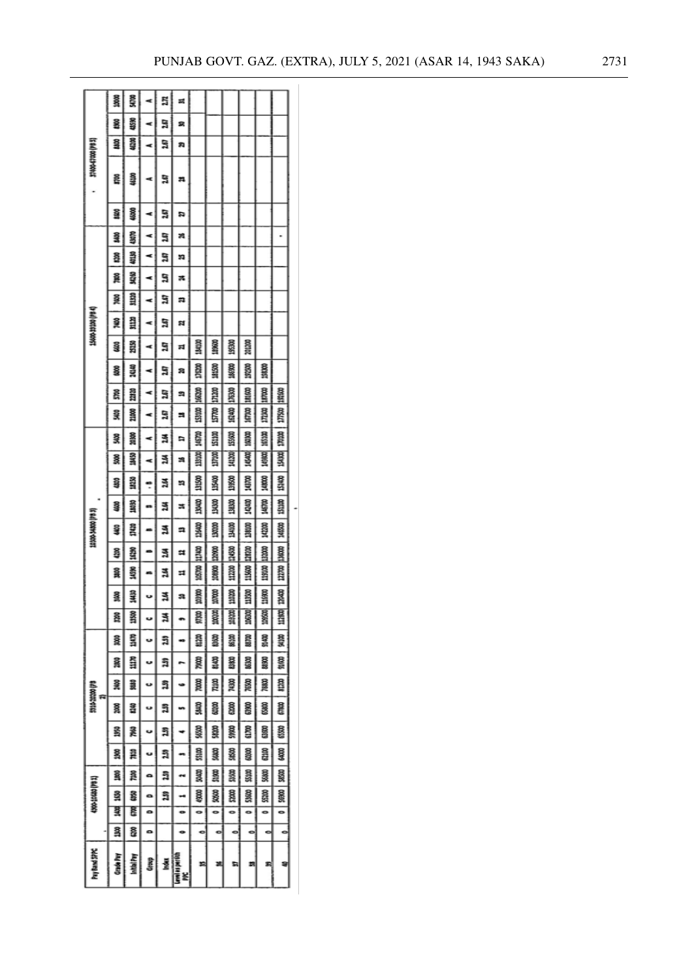|                         | <b>SER</b><br>š  | ŝ<br>4590   | ¢ | 272<br>ã | z<br>2                  |              |                |                 |                 |              |               |  |
|-------------------------|------------------|-------------|---|----------|-------------------------|--------------|----------------|-----------------|-----------------|--------------|---------------|--|
|                         | 욢                | 46300       | ¢ | a        | 莉                       |              |                |                 |                 |              |               |  |
| 37400-67000 (PB 5)      | g                | 46100       | ⋖ | ã        | Ħ                       |              |                |                 |                 |              |               |  |
|                         | 횰                | Ş           | ¢ | 5        | n                       |              |                |                 |                 |              |               |  |
|                         | ŝ                | 43070       | c | ã        | ×                       |              |                |                 |                 |              |               |  |
|                         | 횮                | 40130       | ⋖ | ã        | n                       |              |                |                 |                 |              |               |  |
|                         | 葺                | N50         | c | ã        | ×                       |              |                |                 |                 |              |               |  |
|                         | 翨                | 31120       | ⋖ | ã        | n                       |              |                |                 |                 |              |               |  |
| <b>Dial catat-const</b> | 敻                | 칊           | ¢ | ធ        | শ্ৰ                     |              |                |                 |                 |              |               |  |
|                         | ន្ទិ             | m           | ¢ | ă        | ন                       | <b>SSISS</b> | 189600         | 195300          | <b>Retiet</b>   |              |               |  |
|                         | 8                | 34140       | ⋖ | 287      | R                       | 17020        | 181500         | 18630           | 19280           | m            |               |  |
|                         | g                | 22320       | ⋖ | ã        | 匀                       | 16630        | <b>DISTLES</b> | 176300          | <b>LATACO</b>   | <b>BEST</b>  | 192,600       |  |
|                         | 흋                | 21000       |   | S        | 쁴                       | Sig          | <b>BLS</b>     | 162400          | <b>BEZ</b>      | mm           | <b>BSKLI</b>  |  |
|                         | 윷                | 38,83       | ⋖ | ã        | ٠                       | <b>REST</b>  | <b>Sil20</b>   | 155600          | 10100           | <b>RESER</b> | mm            |  |
|                         | ŝ                | SMKI        | ¢ | ă        | 潟                       | 13100        | 197100         | 141200          | 145400          | 10KG         | 蔓             |  |
|                         | 흉                | <b>SCRT</b> | ŗ | ă        | n                       | <b>Side</b>  | <b>Silica</b>  | 3880            | <b>Research</b> | 34,000       | 15100         |  |
|                         | 發                | 18080       | ▭ | ä        | z                       | <b>BAC</b>   | <b>BASE</b>    | 38,00           | 142400          | <b>SER</b>   | <b>Sills</b>  |  |
| (c e.d) ooner-oor.org   | ş                | 31420       |   | ä        | a                       | 136400       | 3000           | 鼻耳              | <b>SIRG</b>     | MIN          | 348500        |  |
|                         | ş                | 3           |   | ä        | Ħ                       | <b>BOX11</b> | 22000          | 3450            | 128200          | 13200        | 13400         |  |
|                         | 葺                | š           | m | 4        | Ħ                       | <b>Right</b> | <b>DRAD</b>    | $\frac{20}{20}$ | <b>SSS</b>      | 119100       | $\frac{1}{2}$ |  |
|                         | 鬘                | 呈           |   | ä        | ន                       | 震            |                |                 | <b>MATH</b>     | 116900       | 120400        |  |
|                         | Ř                | 3           | u | ă        | ۰                       | 87.DB        | 100100         | astat           | 106302          | 109500       | 112600        |  |
|                         | ន្តិ             | i           | ပ | ដ្ឋ      |                         | â            | 8300           | 86100           | <b>RIS</b>      | Si 40        | 8             |  |
|                         | Sont             | 葺           | v | ភ្ន      |                         | 敻            | ans            | å               | <b>MSX</b>      | 8            | 91600         |  |
|                         | 蔓                | å           | ပ | ភ្ន      | ÷                       | ê            | Rim            | <b>ROOL</b>     | 76500           | <b>DORL</b>  | g             |  |
| 0010420200108           | ន្ត              | 26          | U | ង៊       |                         | å            | 8              | â               | 88              | š            | an<br>G       |  |
|                         | š                | 욿           | v | រីរ      |                         | ş            | â              | ges o           | g               | š            | SSO           |  |
|                         | ŝ                | å           | u | ភ្ន      |                         | ន្ត្         | â              | Š               | å               | ã            | g             |  |
|                         | ŝ                | å           | ۵ | ä        | œ                       | Si<br>Si     | g              | ន្តី            | Sim             | ş            | 88            |  |
| 1200-20020 (181)        | ទ្ធ              | ŝ           | ۰ | ភ្ន      | ⊷                       | 88           | 30,00          | å               | 53600           | 8            | 880           |  |
|                         | ã                | g           | ۰ |          | ۰                       | ۰            | 0              | ۰               | ۰               | ۰            | ۰             |  |
|                         | ŝ                | ន្និ        | ۰ |          | ۰                       | ۰            | ۰              | ۰               | o,              | 0            | c             |  |
| Pay Band SPPC           | <b>Grade Pay</b> | Initial Pay | g | Más      | Level as per dah<br>PPC | ×            | ×              | ħ               | 뼈               | 죄            | s             |  |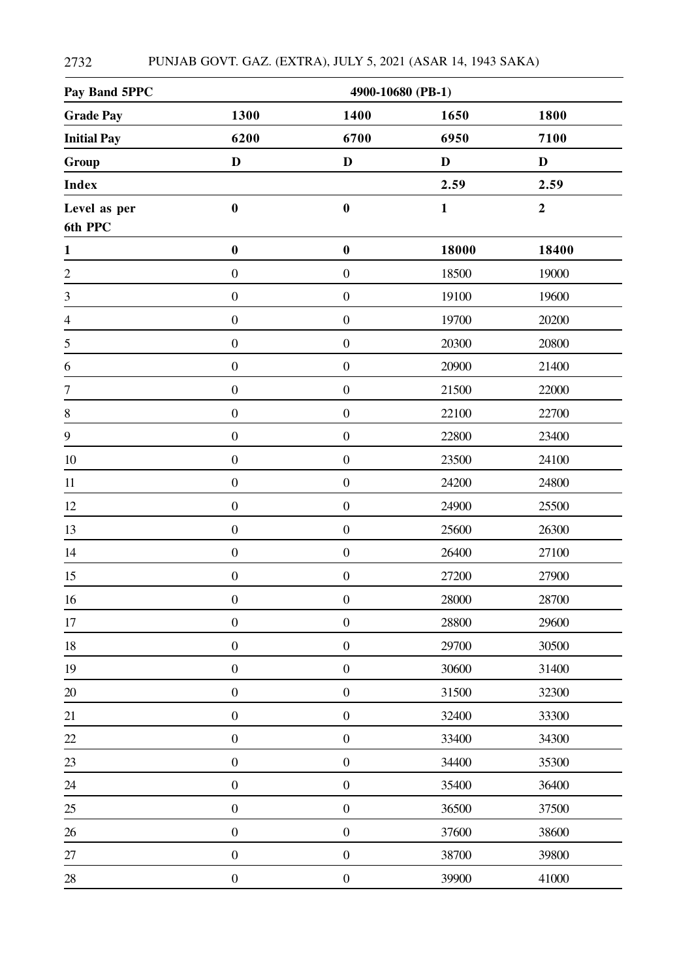| Pay Band 5PPC      |                  | 4900-10680 (PB-1) |              |                  |  |  |  |  |
|--------------------|------------------|-------------------|--------------|------------------|--|--|--|--|
| <b>Grade Pay</b>   | 1300             | 1400              | 1650         | 1800             |  |  |  |  |
| <b>Initial Pay</b> | 6200             | 6700              | 6950         | 7100             |  |  |  |  |
| Group              | $\mathbf D$      | $\mathbf D$       | $\mathbf D$  | $\mathbf D$      |  |  |  |  |
| <b>Index</b>       |                  |                   | 2.59         | 2.59             |  |  |  |  |
| Level as per       | $\boldsymbol{0}$ | $\boldsymbol{0}$  | $\mathbf{1}$ | $\boldsymbol{2}$ |  |  |  |  |
| 6th PPC            |                  |                   |              |                  |  |  |  |  |
| $\mathbf{1}$       | $\boldsymbol{0}$ | $\boldsymbol{0}$  | 18000        | 18400            |  |  |  |  |
| $\overline{2}$     | $\boldsymbol{0}$ | $\boldsymbol{0}$  | 18500        | 19000            |  |  |  |  |
| 3                  | $\boldsymbol{0}$ | $\boldsymbol{0}$  | 19100        | 19600            |  |  |  |  |
| $\overline{4}$     | $\boldsymbol{0}$ | $\boldsymbol{0}$  | 19700        | 20200            |  |  |  |  |
| $\sqrt{5}$         | $\boldsymbol{0}$ | $\boldsymbol{0}$  | 20300        | 20800            |  |  |  |  |
| 6                  | $\boldsymbol{0}$ | $\boldsymbol{0}$  | 20900        | 21400            |  |  |  |  |
| $\tau$             | $\boldsymbol{0}$ | $\boldsymbol{0}$  | 21500        | 22000            |  |  |  |  |
| $\,8\,$            | $\boldsymbol{0}$ | $\boldsymbol{0}$  | 22100        | 22700            |  |  |  |  |
| 9                  | $\boldsymbol{0}$ | $\boldsymbol{0}$  | 22800        | 23400            |  |  |  |  |
| 10                 | $\boldsymbol{0}$ | $\boldsymbol{0}$  | 23500        | 24100            |  |  |  |  |
| 11                 | $\boldsymbol{0}$ | $\boldsymbol{0}$  | 24200        | 24800            |  |  |  |  |
| 12                 | $\boldsymbol{0}$ | $\boldsymbol{0}$  | 24900        | 25500            |  |  |  |  |
| 13                 | $\boldsymbol{0}$ | $\boldsymbol{0}$  | 25600        | 26300            |  |  |  |  |
| 14                 | $\boldsymbol{0}$ | $\boldsymbol{0}$  | 26400        | 27100            |  |  |  |  |
| 15                 | $\boldsymbol{0}$ | $\boldsymbol{0}$  | 27200        | 27900            |  |  |  |  |
| 16                 | $\boldsymbol{0}$ | $\boldsymbol{0}$  | 28000        | 28700            |  |  |  |  |
| $17\,$             | $\boldsymbol{0}$ | $\boldsymbol{0}$  | 28800        | 29600            |  |  |  |  |
| $18\,$             | $\boldsymbol{0}$ | $\boldsymbol{0}$  | 29700        | 30500            |  |  |  |  |
| 19                 | $\boldsymbol{0}$ | $\boldsymbol{0}$  | 30600        | 31400            |  |  |  |  |
| $20\,$             | $\boldsymbol{0}$ | $\boldsymbol{0}$  | 31500        | 32300            |  |  |  |  |
| 21                 | $\boldsymbol{0}$ | $\boldsymbol{0}$  | 32400        | 33300            |  |  |  |  |
| 22                 | $\boldsymbol{0}$ | $\boldsymbol{0}$  | 33400        | 34300            |  |  |  |  |
| $\frac{23}{1}$     | $\boldsymbol{0}$ | $\boldsymbol{0}$  | 34400        | 35300            |  |  |  |  |
| $24\,$             | $\boldsymbol{0}$ | $\boldsymbol{0}$  | 35400        | 36400            |  |  |  |  |
| $25\,$             | $\boldsymbol{0}$ | $\boldsymbol{0}$  | 36500        | 37500            |  |  |  |  |
| $26\,$             | $\boldsymbol{0}$ | $\boldsymbol{0}$  | 37600        | 38600            |  |  |  |  |
| $27\,$             | $\boldsymbol{0}$ | $\boldsymbol{0}$  | 38700        | 39800            |  |  |  |  |
| $28\,$             | $\boldsymbol{0}$ | $\boldsymbol{0}$  | 39900        | 41000            |  |  |  |  |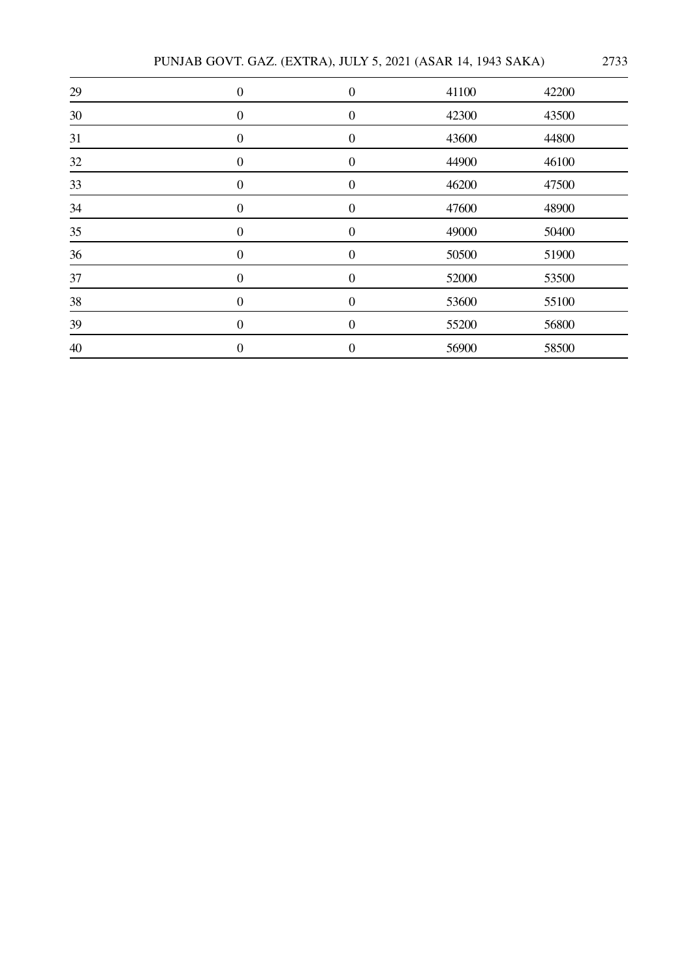PUNJAB GOVT. GAZ. (EXTRA), JULY 5, 2021 (ASAR 14, 1943 SAKA) 2733

| 29 | $\boldsymbol{0}$ | $\boldsymbol{0}$ | 41100 | 42200 |
|----|------------------|------------------|-------|-------|
| 30 | $\overline{0}$   | $\boldsymbol{0}$ | 42300 | 43500 |
| 31 | $\overline{0}$   | $\boldsymbol{0}$ | 43600 | 44800 |
| 32 | $\boldsymbol{0}$ | $\boldsymbol{0}$ | 44900 | 46100 |
| 33 | $\boldsymbol{0}$ | $\boldsymbol{0}$ | 46200 | 47500 |
| 34 | $\boldsymbol{0}$ | $\boldsymbol{0}$ | 47600 | 48900 |
| 35 | $\boldsymbol{0}$ | $\boldsymbol{0}$ | 49000 | 50400 |
| 36 | $\boldsymbol{0}$ | $\boldsymbol{0}$ | 50500 | 51900 |
| 37 | $\theta$         | $\boldsymbol{0}$ | 52000 | 53500 |
| 38 | $\Omega$         | $\boldsymbol{0}$ | 53600 | 55100 |
| 39 | $\overline{0}$   | $\boldsymbol{0}$ | 55200 | 56800 |
| 40 | $\theta$         | $\boldsymbol{0}$ | 56900 | 58500 |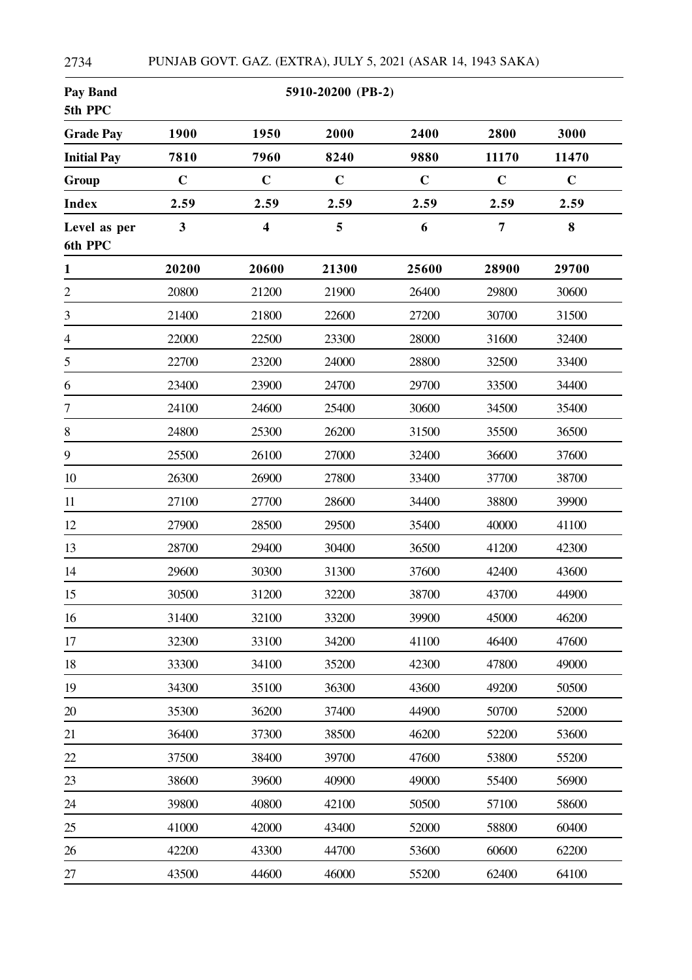| <b>Pay Band</b><br>5th PPC |                         |                         | 5910-20200 (PB-2) |             |                |             |
|----------------------------|-------------------------|-------------------------|-------------------|-------------|----------------|-------------|
| <b>Grade Pay</b>           | 1900                    | 1950                    | 2000              | 2400        | 2800           | 3000        |
| <b>Initial Pay</b>         | 7810                    | 7960                    | 8240              | 9880        | 11170          | 11470       |
| Group                      | $\mathbf C$             | $\mathbf C$             | $\mathbf C$       | $\mathbf C$ | $\mathbf C$    | $\mathbf C$ |
| <b>Index</b>               | 2.59                    | 2.59                    | 2.59              | 2.59        | 2.59           | 2.59        |
| Level as per<br>6th PPC    | $\overline{\mathbf{3}}$ | $\overline{\mathbf{4}}$ | 5                 | 6           | $\overline{7}$ | 8           |
| $\mathbf{1}$               | 20200                   | 20600                   | 21300             | 25600       | 28900          | 29700       |
| $\mathbf{2}$               | 20800                   | 21200                   | 21900             | 26400       | 29800          | 30600       |
| 3                          | 21400                   | 21800                   | 22600             | 27200       | 30700          | 31500       |
| $\overline{4}$             | 22000                   | 22500                   | 23300             | 28000       | 31600          | 32400       |
| 5                          | 22700                   | 23200                   | 24000             | 28800       | 32500          | 33400       |
| 6                          | 23400                   | 23900                   | 24700             | 29700       | 33500          | 34400       |
| 7                          | 24100                   | 24600                   | 25400             | 30600       | 34500          | 35400       |
| $8\,$                      | 24800                   | 25300                   | 26200             | 31500       | 35500          | 36500       |
| 9                          | 25500                   | 26100                   | 27000             | 32400       | 36600          | 37600       |
| 10                         | 26300                   | 26900                   | 27800             | 33400       | 37700          | 38700       |
| 11                         | 27100                   | 27700                   | 28600             | 34400       | 38800          | 39900       |
| 12                         | 27900                   | 28500                   | 29500             | 35400       | 40000          | 41100       |
| 13                         | 28700                   | 29400                   | 30400             | 36500       | 41200          | 42300       |
| 14                         | 29600                   | 30300                   | 31300             | 37600       | 42400          | 43600       |
| 15                         | 30500                   | 31200                   | 32200             | 38700       | 43700          | 44900       |
| 16                         | 31400                   | 32100                   | 33200             | 39900       | 45000          | 46200       |
| 17                         | 32300                   | 33100                   | 34200             | 41100       | 46400          | 47600       |
| 18                         | 33300                   | 34100                   | 35200             | 42300       | 47800          | 49000       |
| 19                         | 34300                   | 35100                   | 36300             | 43600       | 49200          | 50500       |
| 20                         | 35300                   | 36200                   | 37400             | 44900       | 50700          | 52000       |
| 21                         | 36400                   | 37300                   | 38500             | 46200       | 52200          | 53600       |
| 22                         | 37500                   | 38400                   | 39700             | 47600       | 53800          | 55200       |
| 23                         | 38600                   | 39600                   | 40900             | 49000       | 55400          | 56900       |
| 24                         | 39800                   | 40800                   | 42100             | 50500       | 57100          | 58600       |
| 25                         | 41000                   | 42000                   | 43400             | 52000       | 58800          | 60400       |
| 26                         | 42200                   | 43300                   | 44700             | 53600       | 60600          | 62200       |
| 27                         | 43500                   | 44600                   | 46000             | 55200       | 62400          | 64100       |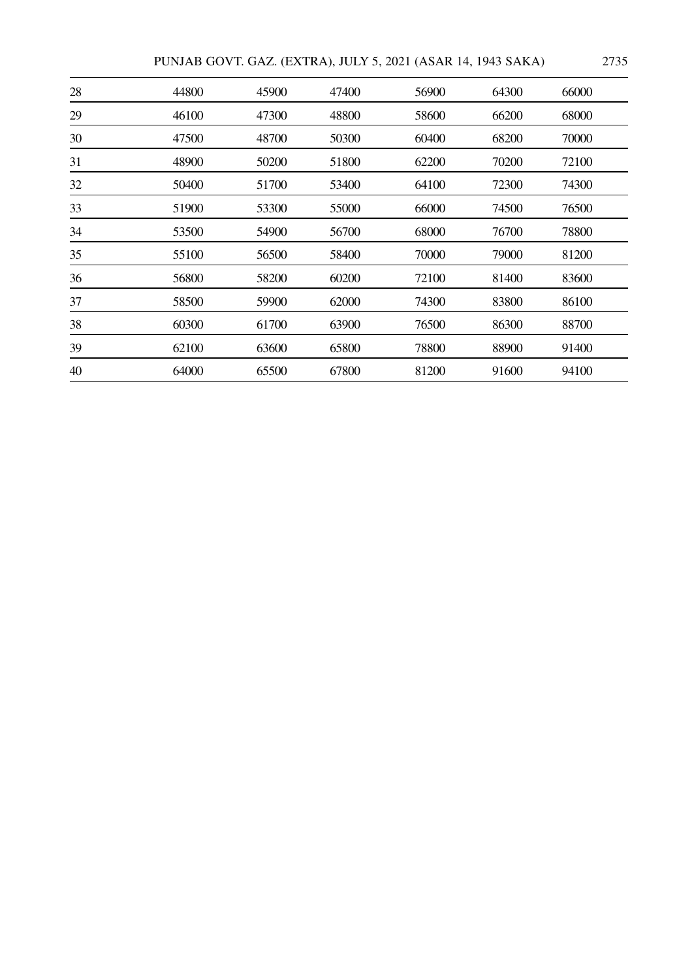| PUNJAB GOVT. GAZ. (EXTRA), JULY 5, 2021 (ASAR 14, 1943 SAKA) |  |  |  |  | 2735 |
|--------------------------------------------------------------|--|--|--|--|------|
|--------------------------------------------------------------|--|--|--|--|------|

| 28 | 44800 | 45900 | 47400 | 56900 | 64300 | 66000 |
|----|-------|-------|-------|-------|-------|-------|
| 29 | 46100 | 47300 | 48800 | 58600 | 66200 | 68000 |
| 30 | 47500 | 48700 | 50300 | 60400 | 68200 | 70000 |
| 31 | 48900 | 50200 | 51800 | 62200 | 70200 | 72100 |
| 32 | 50400 | 51700 | 53400 | 64100 | 72300 | 74300 |
| 33 | 51900 | 53300 | 55000 | 66000 | 74500 | 76500 |
| 34 | 53500 | 54900 | 56700 | 68000 | 76700 | 78800 |
| 35 | 55100 | 56500 | 58400 | 70000 | 79000 | 81200 |
| 36 | 56800 | 58200 | 60200 | 72100 | 81400 | 83600 |
| 37 | 58500 | 59900 | 62000 | 74300 | 83800 | 86100 |
| 38 | 60300 | 61700 | 63900 | 76500 | 86300 | 88700 |
| 39 | 62100 | 63600 | 65800 | 78800 | 88900 | 91400 |
| 40 | 64000 | 65500 | 67800 | 81200 | 91600 | 94100 |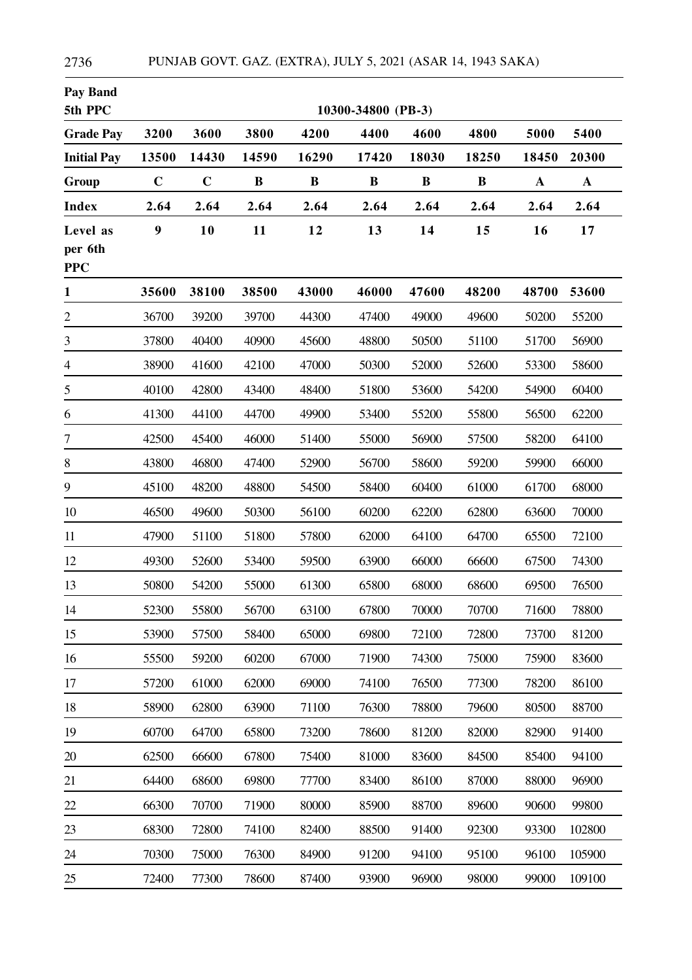| <b>Pay Band</b><br>5th PPC        |             |             |          |          | 10300-34800 (PB-3) |          |          |             |             |
|-----------------------------------|-------------|-------------|----------|----------|--------------------|----------|----------|-------------|-------------|
| <b>Grade Pay</b>                  | 3200        | 3600        | 3800     | 4200     | 4400               | 4600     | 4800     | 5000        | 5400        |
| <b>Initial Pay</b>                | 13500       | 14430       | 14590    | 16290    | 17420              | 18030    | 18250    | 18450       | 20300       |
| Group                             | $\mathbf C$ | $\mathbf C$ | $\bf{B}$ | $\bf{B}$ | $\bf{B}$           | $\bf{B}$ | $\bf{B}$ | $\mathbf A$ | $\mathbf A$ |
| <b>Index</b>                      | 2.64        | 2.64        | 2.64     | 2.64     | 2.64               | 2.64     | 2.64     | 2.64        | 2.64        |
| Level as<br>per 6th<br><b>PPC</b> | 9           | 10          | 11       | 12       | 13                 | 14       | 15       | 16          | 17          |
| $\mathbf{1}$                      | 35600       | 38100       | 38500    | 43000    | 46000              | 47600    | 48200    | 48700       | 53600       |
| $\overline{c}$                    | 36700       | 39200       | 39700    | 44300    | 47400              | 49000    | 49600    | 50200       | 55200       |
| 3                                 | 37800       | 40400       | 40900    | 45600    | 48800              | 50500    | 51100    | 51700       | 56900       |
| $\overline{4}$                    | 38900       | 41600       | 42100    | 47000    | 50300              | 52000    | 52600    | 53300       | 58600       |
| 5                                 | 40100       | 42800       | 43400    | 48400    | 51800              | 53600    | 54200    | 54900       | 60400       |
| 6                                 | 41300       | 44100       | 44700    | 49900    | 53400              | 55200    | 55800    | 56500       | 62200       |
| $\tau$                            | 42500       | 45400       | 46000    | 51400    | 55000              | 56900    | 57500    | 58200       | 64100       |
| $8\,$                             | 43800       | 46800       | 47400    | 52900    | 56700              | 58600    | 59200    | 59900       | 66000       |
| $\boldsymbol{9}$                  | 45100       | 48200       | 48800    | 54500    | 58400              | 60400    | 61000    | 61700       | 68000       |
| 10                                | 46500       | 49600       | 50300    | 56100    | 60200              | 62200    | 62800    | 63600       | 70000       |
| 11                                | 47900       | 51100       | 51800    | 57800    | 62000              | 64100    | 64700    | 65500       | 72100       |
| 12                                | 49300       | 52600       | 53400    | 59500    | 63900              | 66000    | 66600    | 67500       | 74300       |
| 13                                | 50800       | 54200       | 55000    | 61300    | 65800              | 68000    | 68600    | 69500       | 76500       |
| 14                                | 52300       | 55800       | 56700    | 63100    | 67800              | 70000    | 70700    | 71600       | 78800       |
| 15                                | 53900       | 57500       | 58400    | 65000    | 69800              | 72100    | 72800    | 73700       | 81200       |
| 16                                | 55500       | 59200       | 60200    | 67000    | 71900              | 74300    | 75000    | 75900       | 83600       |
| 17                                | 57200       | 61000       | 62000    | 69000    | 74100              | 76500    | 77300    | 78200       | 86100       |
| 18                                | 58900       | 62800       | 63900    | 71100    | 76300              | 78800    | 79600    | 80500       | 88700       |
| 19                                | 60700       | 64700       | 65800    | 73200    | 78600              | 81200    | 82000    | 82900       | 91400       |
| 20                                | 62500       | 66600       | 67800    | 75400    | 81000              | 83600    | 84500    | 85400       | 94100       |
| 21                                | 64400       | 68600       | 69800    | 77700    | 83400              | 86100    | 87000    | 88000       | 96900       |
| 22                                | 66300       | 70700       | 71900    | 80000    | 85900              | 88700    | 89600    | 90600       | 99800       |
| 23                                | 68300       | 72800       | 74100    | 82400    | 88500              | 91400    | 92300    | 93300       | 102800      |
| 24                                | 70300       | 75000       | 76300    | 84900    | 91200              | 94100    | 95100    | 96100       | 105900      |
| 25                                | 72400       | 77300       | 78600    | 87400    | 93900              | 96900    | 98000    | 99000       | 109100      |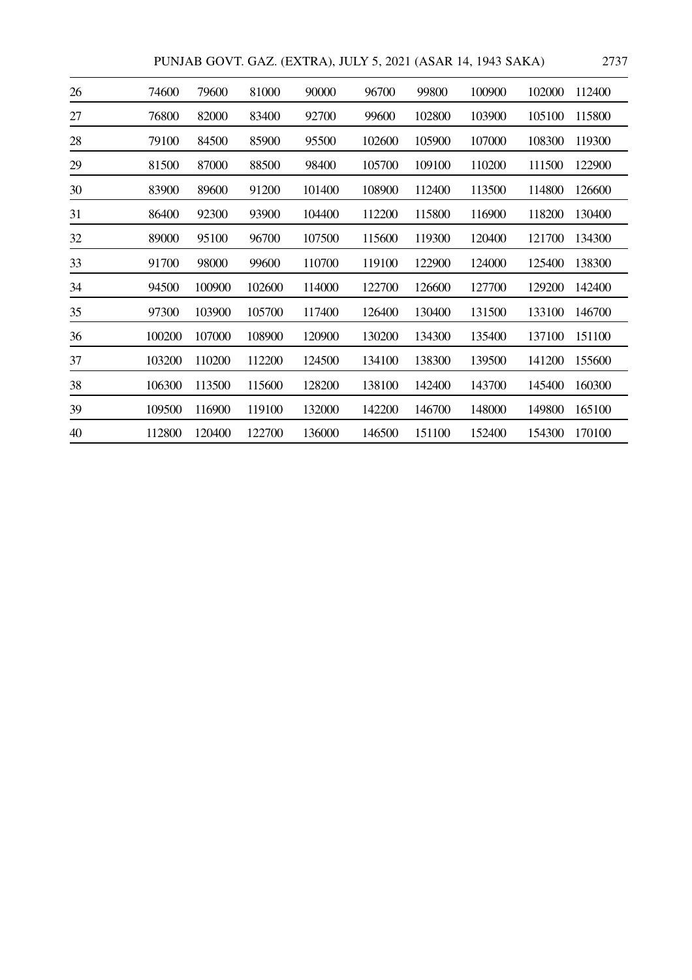|  | PUNJAB GOVT. GAZ. (EXTRA), JULY 5, 2021 (ASAR 14, 1943 SAKA) |  |  |  | 2737 |
|--|--------------------------------------------------------------|--|--|--|------|
|--|--------------------------------------------------------------|--|--|--|------|

| 26 | 74600  | 79600  | 81000  | 90000  | 96700  | 99800  | 100900 | 102000 | 112400 |
|----|--------|--------|--------|--------|--------|--------|--------|--------|--------|
| 27 | 76800  | 82000  | 83400  | 92700  | 99600  | 102800 | 103900 | 105100 | 115800 |
| 28 | 79100  | 84500  | 85900  | 95500  | 102600 | 105900 | 107000 | 108300 | 119300 |
| 29 | 81500  | 87000  | 88500  | 98400  | 105700 | 109100 | 110200 | 111500 | 122900 |
| 30 | 83900  | 89600  | 91200  | 101400 | 108900 | 112400 | 113500 | 114800 | 126600 |
| 31 | 86400  | 92300  | 93900  | 104400 | 112200 | 115800 | 116900 | 118200 | 130400 |
| 32 | 89000  | 95100  | 96700  | 107500 | 115600 | 119300 | 120400 | 121700 | 134300 |
| 33 | 91700  | 98000  | 99600  | 110700 | 119100 | 122900 | 124000 | 125400 | 138300 |
| 34 | 94500  | 100900 | 102600 | 114000 | 122700 | 126600 | 127700 | 129200 | 142400 |
| 35 | 97300  | 103900 | 105700 | 117400 | 126400 | 130400 | 131500 | 133100 | 146700 |
| 36 | 100200 | 107000 | 108900 | 120900 | 130200 | 134300 | 135400 | 137100 | 151100 |
| 37 | 103200 | 110200 | 112200 | 124500 | 134100 | 138300 | 139500 | 141200 | 155600 |
| 38 | 106300 | 113500 | 115600 | 128200 | 138100 | 142400 | 143700 | 145400 | 160300 |
| 39 | 109500 | 116900 | 119100 | 132000 | 142200 | 146700 | 148000 | 149800 | 165100 |
| 40 | 112800 | 120400 | 122700 | 136000 | 146500 | 151100 | 152400 | 154300 | 170100 |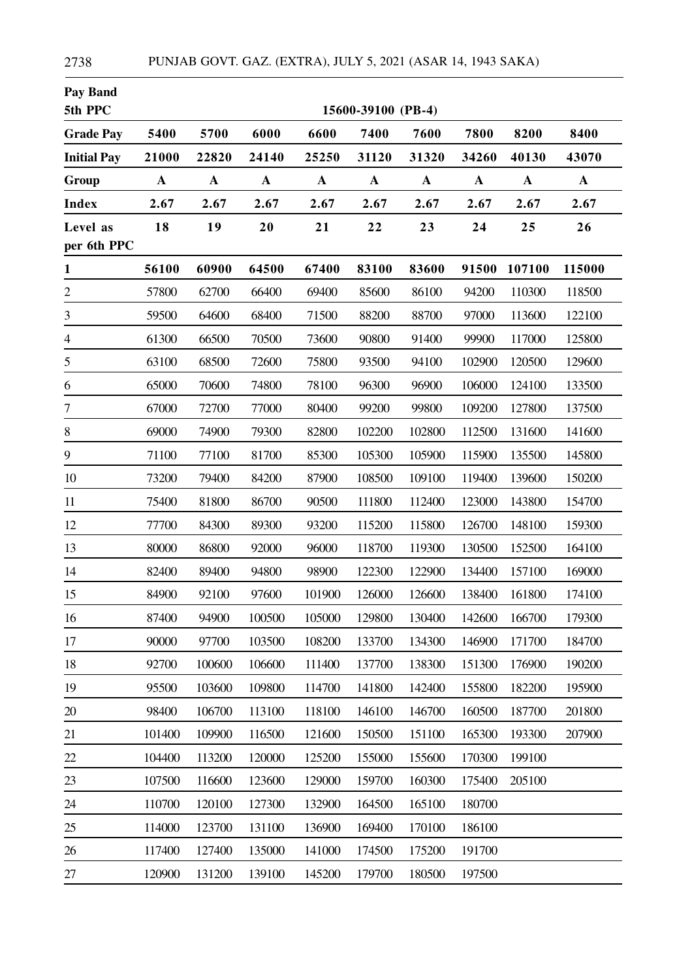| <b>Pay Band</b><br>5th PPC |             |             |             |             | 15600-39100 (PB-4) |                  |             |             |             |
|----------------------------|-------------|-------------|-------------|-------------|--------------------|------------------|-------------|-------------|-------------|
| <b>Grade Pay</b>           | 5400        | 5700        | 6000        | 6600        | 7400               | 7600             | 7800        | 8200        | 8400        |
| <b>Initial Pay</b>         | 21000       | 22820       | 24140       | 25250       | 31120              | 31320            | 34260       | 40130       | 43070       |
| Group                      | $\mathbf A$ | $\mathbf A$ | $\mathbf A$ | $\mathbf A$ | $\mathbf A$        | $\boldsymbol{A}$ | $\mathbf A$ | $\mathbf A$ | $\mathbf A$ |
| <b>Index</b>               | 2.67        | 2.67        | 2.67        | 2.67        | 2.67               | 2.67             | 2.67        | 2.67        | 2.67        |
| Level as<br>per 6th PPC    | 18          | 19          | 20          | 21          | 22                 | 23               | 24          | 25          | 26          |
| $\mathbf{1}$               | 56100       | 60900       | 64500       | 67400       | 83100              | 83600            | 91500       | 107100      | 115000      |
| $\overline{c}$             | 57800       | 62700       | 66400       | 69400       | 85600              | 86100            | 94200       | 110300      | 118500      |
| $\overline{\mathbf{3}}$    | 59500       | 64600       | 68400       | 71500       | 88200              | 88700            | 97000       | 113600      | 122100      |
| $\overline{4}$             | 61300       | 66500       | 70500       | 73600       | 90800              | 91400            | 99900       | 117000      | 125800      |
| 5                          | 63100       | 68500       | 72600       | 75800       | 93500              | 94100            | 102900      | 120500      | 129600      |
| 6                          | 65000       | 70600       | 74800       | 78100       | 96300              | 96900            | 106000      | 124100      | 133500      |
| 7                          | 67000       | 72700       | 77000       | 80400       | 99200              | 99800            | 109200      | 127800      | 137500      |
| $\,$ 8 $\,$                | 69000       | 74900       | 79300       | 82800       | 102200             | 102800           | 112500      | 131600      | 141600      |
| 9                          | 71100       | 77100       | 81700       | 85300       | 105300             | 105900           | 115900      | 135500      | 145800      |
| 10                         | 73200       | 79400       | 84200       | 87900       | 108500             | 109100           | 119400      | 139600      | 150200      |
| 11                         | 75400       | 81800       | 86700       | 90500       | 111800             | 112400           | 123000      | 143800      | 154700      |
| 12                         | 77700       | 84300       | 89300       | 93200       | 115200             | 115800           | 126700      | 148100      | 159300      |
| 13                         | 80000       | 86800       | 92000       | 96000       | 118700             | 119300           | 130500      | 152500      | 164100      |
| 14                         | 82400       | 89400       | 94800       | 98900       | 122300             | 122900           | 134400      | 157100      | 169000      |
| 15                         | 84900       | 92100       | 97600       | 101900      | 126000             | 126600           | 138400      | 161800      | 174100      |
| 16                         | 87400       | 94900       | 100500      | 105000      | 129800             | 130400           | 142600      | 166700      | 179300      |
| 17                         | 90000       | 97700       | 103500      | 108200      | 133700             | 134300           | 146900      | 171700      | 184700      |
| 18                         | 92700       | 100600      | 106600      | 111400      | 137700             | 138300           | 151300      | 176900      | 190200      |
| 19                         | 95500       | 103600      | 109800      | 114700      | 141800             | 142400           | 155800      | 182200      | 195900      |
| 20                         | 98400       | 106700      | 113100      | 118100      | 146100             | 146700           | 160500      | 187700      | 201800      |
| 21                         | 101400      | 109900      | 116500      | 121600      | 150500             | 151100           | 165300      | 193300      | 207900      |
| 22                         | 104400      | 113200      | 120000      | 125200      | 155000             | 155600           | 170300      | 199100      |             |
| 23                         | 107500      | 116600      | 123600      | 129000      | 159700             | 160300           | 175400      | 205100      |             |
| 24                         | 110700      | 120100      | 127300      | 132900      | 164500             | 165100           | 180700      |             |             |
| 25                         | 114000      | 123700      | 131100      | 136900      | 169400             | 170100           | 186100      |             |             |
| 26                         | 117400      | 127400      | 135000      | 141000      | 174500             | 175200           | 191700      |             |             |
| 27                         | 120900      | 131200      | 139100      | 145200      | 179700             | 180500           | 197500      |             |             |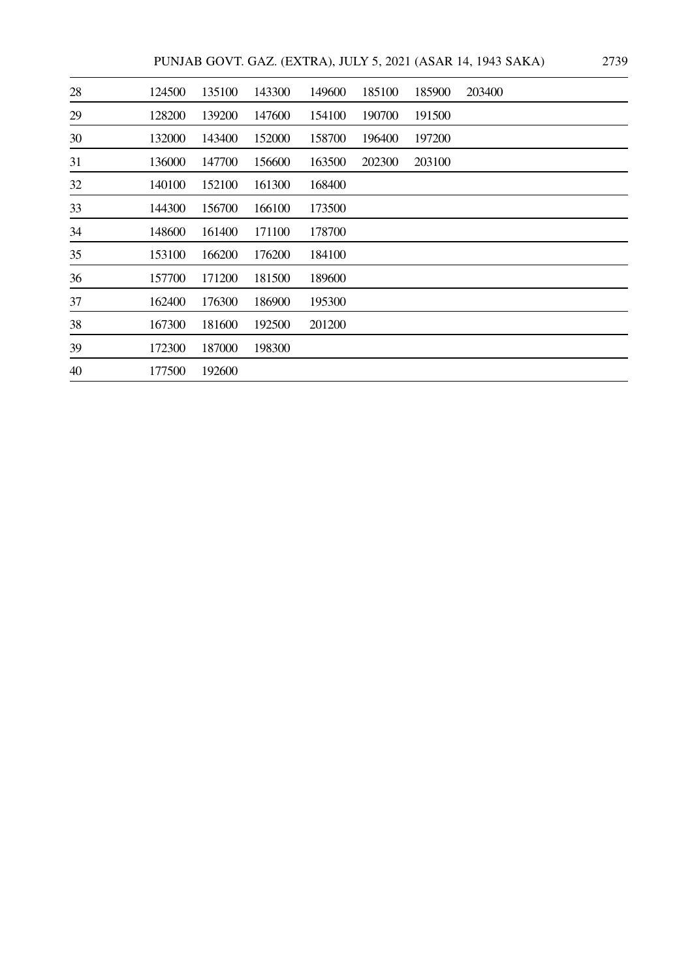PUNJAB GOVT. GAZ. (EXTRA), JULY 5, 2021 (ASAR 14, 1943 SAKA) 2739

| 28 | 124500 | 135100 | 143300 | 149600 | 185100 | 185900 | 203400 |
|----|--------|--------|--------|--------|--------|--------|--------|
| 29 | 128200 | 139200 | 147600 | 154100 | 190700 | 191500 |        |
| 30 | 132000 | 143400 | 152000 | 158700 | 196400 | 197200 |        |
| 31 | 136000 | 147700 | 156600 | 163500 | 202300 | 203100 |        |
| 32 | 140100 | 152100 | 161300 | 168400 |        |        |        |
| 33 | 144300 | 156700 | 166100 | 173500 |        |        |        |
| 34 | 148600 | 161400 | 171100 | 178700 |        |        |        |
| 35 | 153100 | 166200 | 176200 | 184100 |        |        |        |
| 36 | 157700 | 171200 | 181500 | 189600 |        |        |        |
| 37 | 162400 | 176300 | 186900 | 195300 |        |        |        |
| 38 | 167300 | 181600 | 192500 | 201200 |        |        |        |
| 39 | 172300 | 187000 | 198300 |        |        |        |        |
| 40 | 177500 | 192600 |        |        |        |        |        |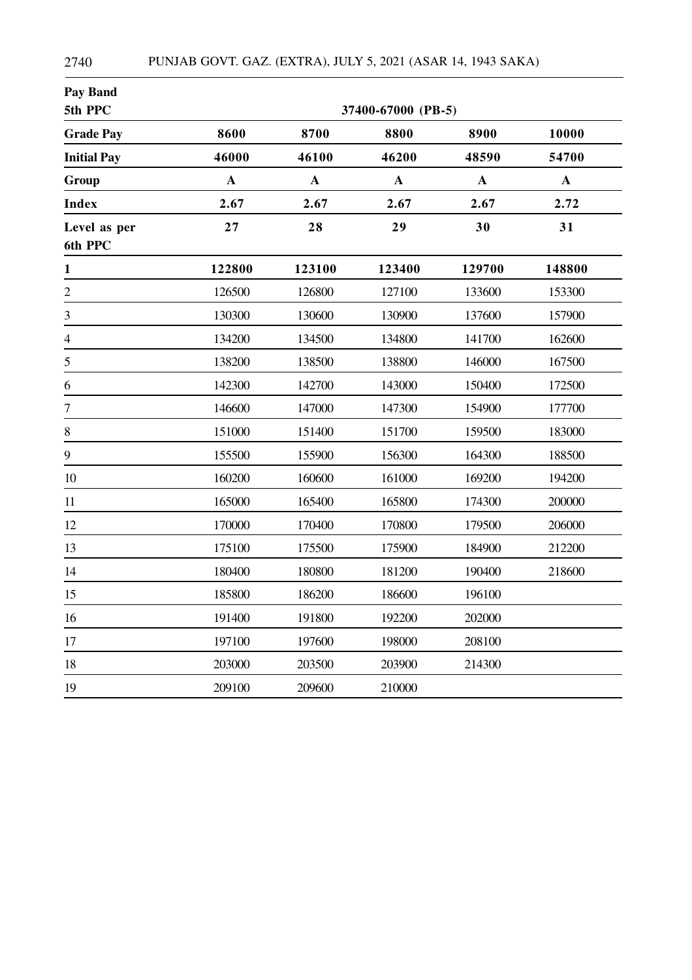| <b>Pay Band</b><br>5th PPC |              |              | 37400-67000 (PB-5) |              |              |
|----------------------------|--------------|--------------|--------------------|--------------|--------------|
| <b>Grade Pay</b>           | 8600         | 8700         | 8800               | 8900         | 10000        |
| <b>Initial Pay</b>         | 46000        | 46100        | 46200              | 48590        | 54700        |
| Group                      | $\mathbf{A}$ | $\mathbf{A}$ | $\mathbf{A}$       | $\mathbf{A}$ | $\mathbf{A}$ |
| <b>Index</b>               | 2.67         | 2.67         | 2.67               | 2.67         | 2.72         |
| Level as per<br>6th PPC    | 27           | 28           | 29                 | 30           | 31           |
| $\mathbf{1}$               | 122800       | 123100       | 123400             | 129700       | 148800       |
| $\overline{c}$             | 126500       | 126800       | 127100             | 133600       | 153300       |
| $\mathfrak{Z}$             | 130300       | 130600       | 130900             | 137600       | 157900       |
| $\overline{4}$             | 134200       | 134500       | 134800             | 141700       | 162600       |
| 5                          | 138200       | 138500       | 138800             | 146000       | 167500       |
| 6                          | 142300       | 142700       | 143000             | 150400       | 172500       |
| $\boldsymbol{7}$           | 146600       | 147000       | 147300             | 154900       | 177700       |
| 8                          | 151000       | 151400       | 151700             | 159500       | 183000       |
| 9                          | 155500       | 155900       | 156300             | 164300       | 188500       |
| 10                         | 160200       | 160600       | 161000             | 169200       | 194200       |
| 11                         | 165000       | 165400       | 165800             | 174300       | 200000       |
| 12                         | 170000       | 170400       | 170800             | 179500       | 206000       |
| 13                         | 175100       | 175500       | 175900             | 184900       | 212200       |
| 14                         | 180400       | 180800       | 181200             | 190400       | 218600       |
| 15                         | 185800       | 186200       | 186600             | 196100       |              |
| 16                         | 191400       | 191800       | 192200             | 202000       |              |
| 17                         | 197100       | 197600       | 198000             | 208100       |              |
| 18                         | 203000       | 203500       | 203900             | 214300       |              |
| 19                         | 209100       | 209600       | 210000             |              |              |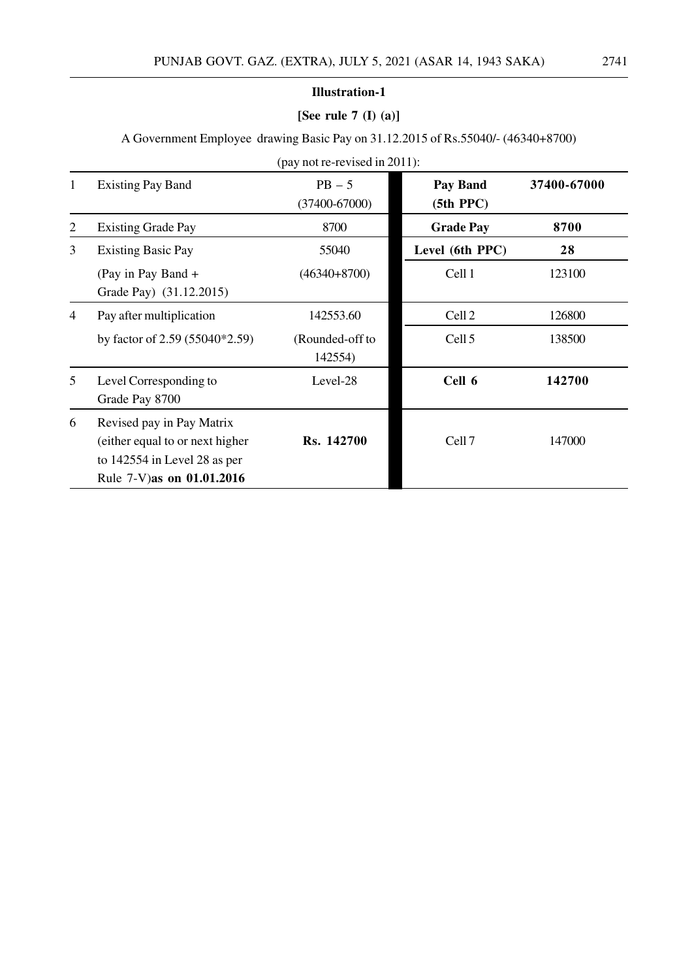# **[See rule 7 (I) (a)]**

A Government Employee drawing Basic Pay on 31.12.2015 of Rs.55040/- (46340+8700)

|                |                                                                                                                              | $\mu$ , $\mu$ is the revised in 2011). |                            |             |  |
|----------------|------------------------------------------------------------------------------------------------------------------------------|----------------------------------------|----------------------------|-------------|--|
| $\mathbf{1}$   | <b>Existing Pay Band</b>                                                                                                     | $PB - 5$<br>$(37400 - 67000)$          | Pay Band<br>$(5th$ PPC $)$ | 37400-67000 |  |
| $\overline{2}$ | <b>Existing Grade Pay</b>                                                                                                    | 8700                                   | <b>Grade Pay</b>           | 8700        |  |
| 3              | <b>Existing Basic Pay</b>                                                                                                    | 55040                                  | Level (6th PPC)            | 28          |  |
|                | (Pay in Pay Band +<br>Grade Pay) (31.12.2015)                                                                                | $(46340+8700)$                         | Cell 1                     | 123100      |  |
| $\overline{4}$ | Pay after multiplication                                                                                                     | 142553.60                              | Cell <sub>2</sub>          | 126800      |  |
|                | by factor of $2.59$ (55040 $*2.59$ )                                                                                         | (Rounded-off to<br>142554)             | Cell <sub>5</sub>          | 138500      |  |
| 5              | Level Corresponding to<br>Grade Pay 8700                                                                                     | Level-28                               | Cell 6                     | 142700      |  |
| 6              | Revised pay in Pay Matrix<br>(either equal to or next higher<br>to $142554$ in Level 28 as per<br>Rule 7-V) as on 01.01.2016 | Rs. 142700                             | Cell <sub>7</sub>          | 147000      |  |

(pay not re-revised in 2011):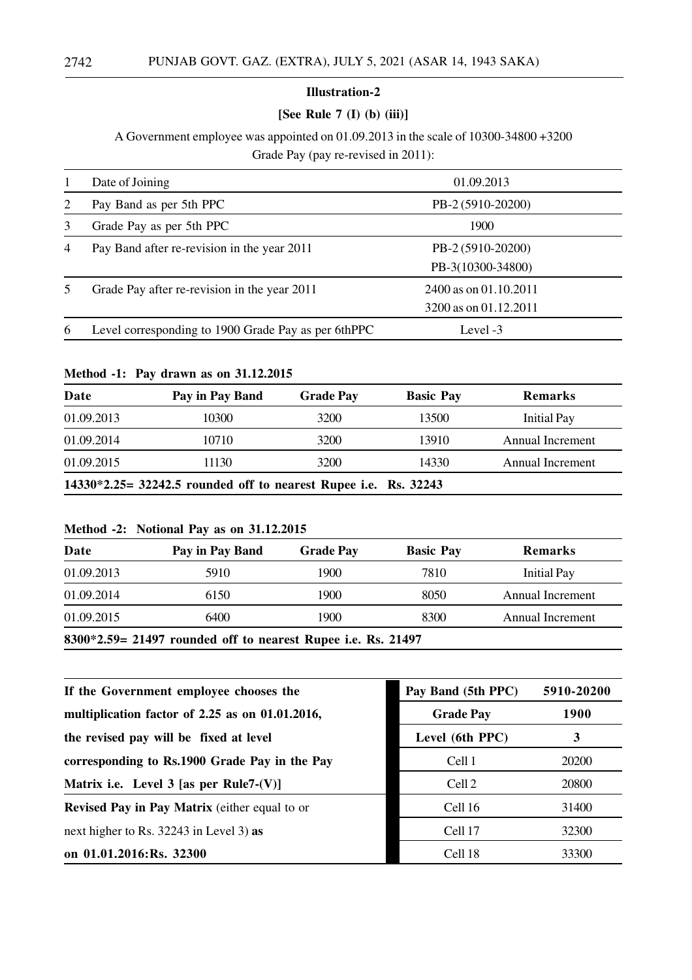#### **[See Rule 7 (I) (b) (iii)]**

A Government employee was appointed on 01.09.2013 in the scale of 10300-34800 +3200

Grade Pay (pay re-revised in 2011):

|                | Date of Joining                                     | 01.09.2013                                     |  |
|----------------|-----------------------------------------------------|------------------------------------------------|--|
| 2              | Pay Band as per 5th PPC                             | PB-2 (5910-20200)                              |  |
| 3              | Grade Pay as per 5th PPC                            | 1900                                           |  |
| $\overline{4}$ | Pay Band after re-revision in the year 2011         | PB-2 (5910-20200)<br>PB-3(10300-34800)         |  |
|                | Grade Pay after re-revision in the year 2011        | 2400 as on 01.10.2011<br>3200 as on 01.12.2011 |  |
| $\mathfrak b$  | Level corresponding to 1900 Grade Pay as per 6thPPC | Level -3                                       |  |

#### **Method -1: Pay drawn as on 31.12.2015**

| Date       | Pay in Pay Band                                                 | <b>Grade Pay</b> | <b>Basic Pay</b> | <b>Remarks</b>     |
|------------|-----------------------------------------------------------------|------------------|------------------|--------------------|
| 01.09.2013 | 10300                                                           | 3200             | 13500            | <b>Initial Pay</b> |
| 01.09.2014 | 10710                                                           | 3200             | 13910            | Annual Increment   |
| 01.09.2015 | 11130                                                           | 3200             | 14330            | Annual Increment   |
|            | 14330*2.25= 32242.5 rounded off to nearest Rupee i.e. Rs. 32243 |                  |                  |                    |

#### **Method -2: Notional Pay as on 31.12.2015**

| Date       | Pay in Pay Band | <b>Grade Pay</b> | <b>Basic Pay</b> | <b>Remarks</b>     |
|------------|-----------------|------------------|------------------|--------------------|
| 01.09.2013 | 5910            | 1900.            | 7810             | <b>Initial Pay</b> |
| 01.09.2014 | 6150            | 1900             | 8050             | Annual Increment   |
| 01.09.2015 | 6400            | 1900             | 8300             | Annual Increment   |

**8300\*2.59= 21497 rounded off to nearest Rupee i.e. Rs. 21497**

| If the Government employee chooses the               | Pay Band (5th PPC) | 5910-20200  |
|------------------------------------------------------|--------------------|-------------|
| multiplication factor of 2.25 as on 01.01.2016,      | <b>Grade Pay</b>   | <b>1900</b> |
| the revised pay will be fixed at level               | Level (6th PPC)    | 3           |
| corresponding to Rs.1900 Grade Pay in the Pay        | Cell 1             | 20200       |
| Matrix i.e. Level 3 [as per Rule7- $(V)$ ]           | Cell <sub>2</sub>  | 20800       |
| <b>Revised Pay in Pay Matrix</b> (either equal to or | Cell 16            | 31400       |
| next higher to Rs. $32243$ in Level 3) as            | Cell 17            | 32300       |
| on 01.01.2016:Rs. 32300                              | Cell 18            | 33300       |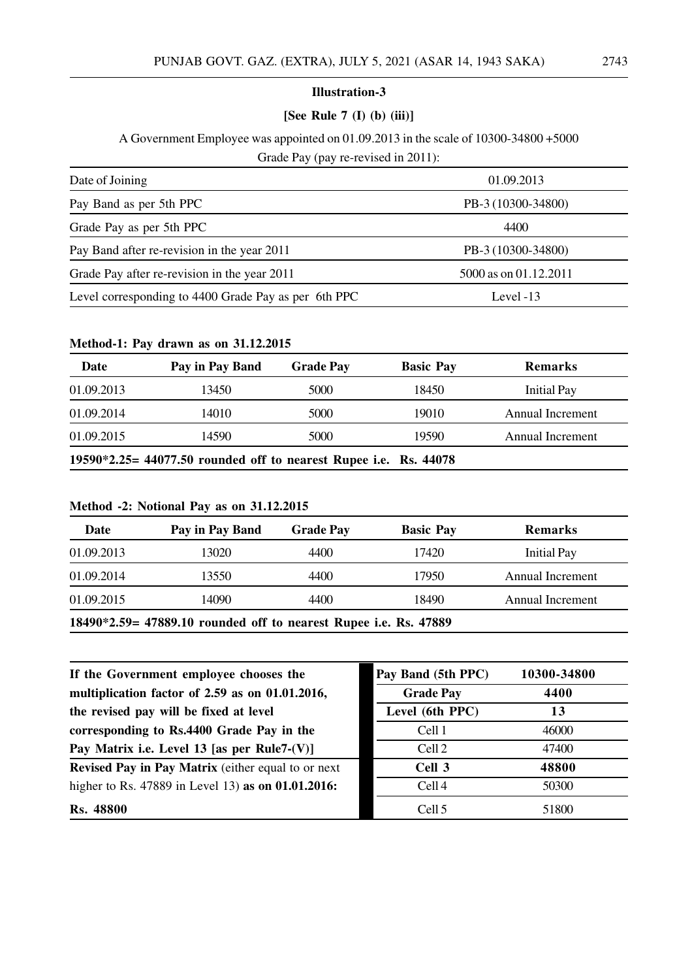# **[See Rule 7 (I) (b) (iii)]**

A Government Employee was appointed on 01.09.2013 in the scale of 10300-34800 +5000 Grade Pay (pay re-revised in 2011):

| Date of Joining                                      | 01.09.2013            |
|------------------------------------------------------|-----------------------|
| Pay Band as per 5th PPC                              | PB-3 (10300-34800)    |
| Grade Pay as per 5th PPC                             | 4400                  |
| Pay Band after re-revision in the year 2011          | PB-3 (10300-34800)    |
| Grade Pay after re-revision in the year 2011         | 5000 as on 01.12.2011 |
| Level corresponding to 4400 Grade Pay as per 6th PPC | Level $-13$           |

# **Method-1: Pay drawn as on 31.12.2015**

| Date                                                             | Pay in Pay Band | <b>Grade Pay</b> | <b>Basic Pay</b> | <b>Remarks</b>     |  |
|------------------------------------------------------------------|-----------------|------------------|------------------|--------------------|--|
| 01.09.2013                                                       | 13450           | 5000             | 18450            | <b>Initial Pay</b> |  |
| 01.09.2014                                                       | 14010           | 5000             | 19010            | Annual Increment   |  |
| 01.09.2015                                                       | 14590           | 5000             | 19590            | Annual Increment   |  |
| 19590*2.25= 44077.50 rounded off to nearest Rupee i.e. Rs. 44078 |                 |                  |                  |                    |  |

#### **Method -2: Notional Pay as on 31.12.2015**

| Date                                                             | Pay in Pay Band | <b>Grade Pay</b> | <b>Basic Pay</b> | <b>Remarks</b>     |  |
|------------------------------------------------------------------|-----------------|------------------|------------------|--------------------|--|
| 01.09.2013                                                       | 13020           | 4400             | 17420            | <b>Initial Pay</b> |  |
| 01.09.2014                                                       | 13550           | 4400             | 17950            | Annual Increment   |  |
| 01.09.2015                                                       | 14090           | 4400             | 18490            | Annual Increment   |  |
| 18490*2.59= 47889.10 rounded off to nearest Rupee i.e. Rs. 47889 |                 |                  |                  |                    |  |

| If the Government employee chooses the                    | Pay Band (5th PPC) | 10300-34800 |
|-----------------------------------------------------------|--------------------|-------------|
| multiplication factor of 2.59 as on 01.01.2016,           | <b>Grade Pay</b>   | 4400        |
| the revised pay will be fixed at level                    | Level (6th PPC)    | 13          |
| corresponding to Rs.4400 Grade Pay in the                 | Cell 1             | 46000       |
| Pay Matrix i.e. Level 13 [as per Rule7- $(V)$ ]           | Cell <sub>2</sub>  | 47400       |
| <b>Revised Pay in Pay Matrix</b> (either equal to or next | Cell 3             | 48800       |
| higher to Rs. 47889 in Level 13) as on 01.01.2016:        | Cell <sub>4</sub>  | 50300       |
| <b>Rs. 48800</b>                                          | Cell <sub>5</sub>  | 51800       |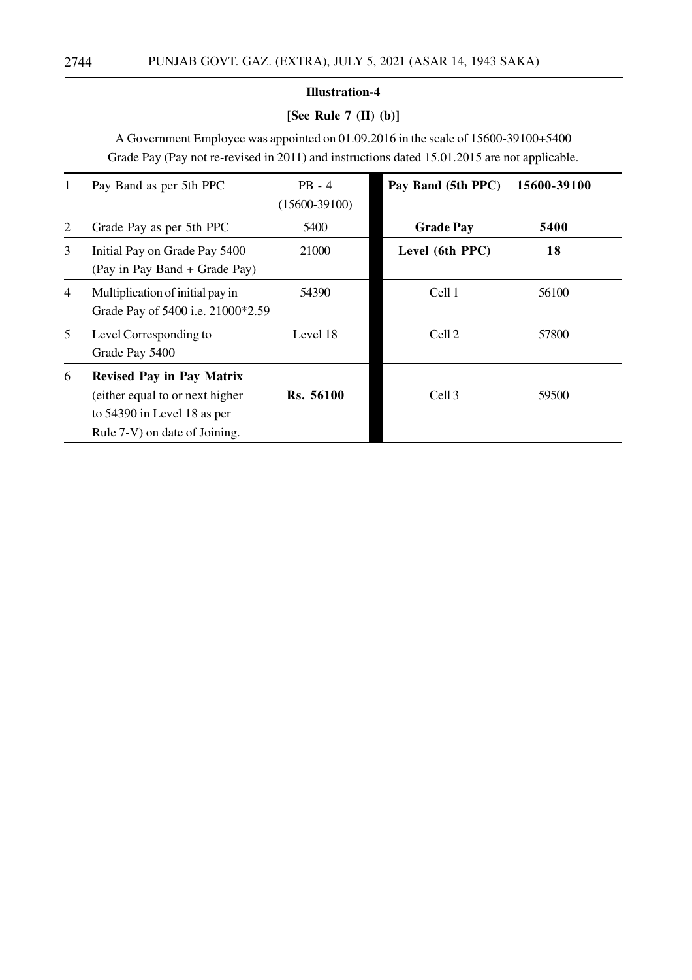# **[See Rule 7 (II) (b)]**

A Government Employee was appointed on 01.09.2016 in the scale of 15600-39100+5400 Grade Pay (Pay not re-revised in 2011) and instructions dated 15.01.2015 are not applicable.

| 1              | Pay Band as per 5th PPC                                                                                                              | $PB - 4$<br>$(15600-39100)$ | Pay Band (5th PPC) | 15600-39100 |
|----------------|--------------------------------------------------------------------------------------------------------------------------------------|-----------------------------|--------------------|-------------|
| 2              | Grade Pay as per 5th PPC                                                                                                             | 5400                        | <b>Grade Pay</b>   | 5400        |
| 3              | Initial Pay on Grade Pay 5400<br>(Pay in Pay Band + Grade Pay)                                                                       | 21000                       | Level (6th PPC)    | 18          |
| $\overline{4}$ | Multiplication of initial pay in<br>Grade Pay of 5400 i.e. 21000*2.59                                                                | 54390                       | Cell 1             | 56100       |
| 5              | Level Corresponding to<br>Grade Pay 5400                                                                                             | Level 18                    | Cell <sub>2</sub>  | 57800       |
| 6              | <b>Revised Pay in Pay Matrix</b><br>(either equal to or next higher)<br>to 54390 in Level 18 as per<br>Rule 7-V) on date of Joining. | Rs. 56100                   | Cell 3             | 59500       |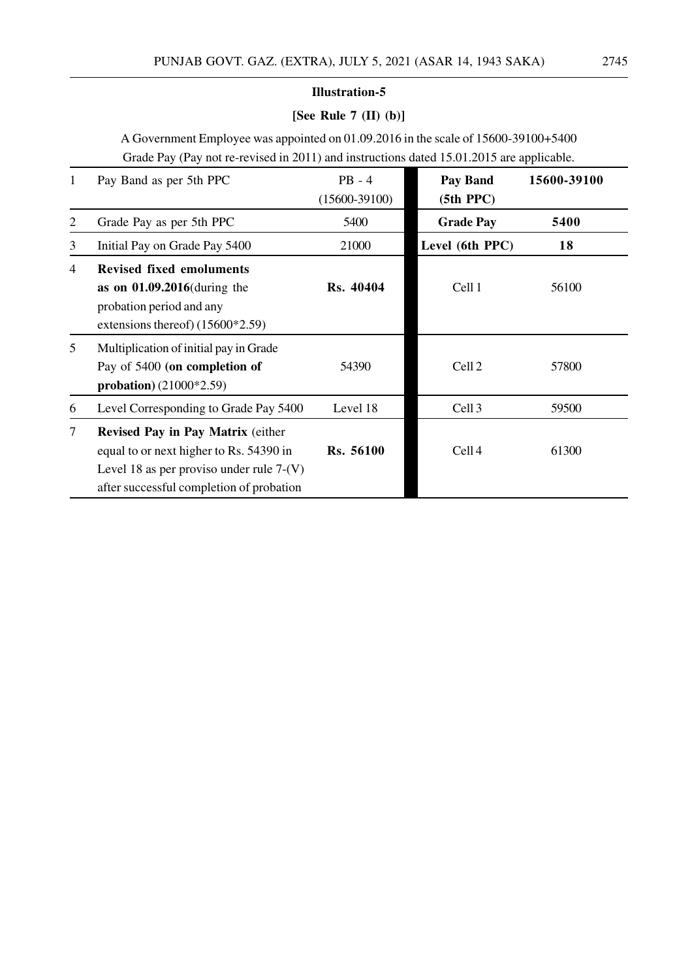# **[See Rule 7 (II) (b)]**

A Government Employee was appointed on 01.09.2016 in the scale of 15600-39100+5400 Grade Pay (Pay not re-revised in 2011) and instructions dated 15.01.2015 are applicable.

| 1      | Pay Band as per 5th PPC                                                                                                                                                | $PB - 4$<br>$(15600-39100)$ | <b>Pay Band</b><br>$(5th$ PPC $)$ | 15600-39100 |
|--------|------------------------------------------------------------------------------------------------------------------------------------------------------------------------|-----------------------------|-----------------------------------|-------------|
| 2      | Grade Pay as per 5th PPC                                                                                                                                               | 5400                        | <b>Grade Pay</b>                  | 5400        |
| 3      | Initial Pay on Grade Pay 5400                                                                                                                                          | 21000                       | Level (6th PPC)                   | 18          |
| 4      | <b>Revised fixed emoluments</b><br>as on $01.09.2016$ (during the<br>probation period and any<br>extensions thereof) $(15600*2.59)$                                    | Rs. 40404                   | Cell 1                            | 56100       |
| 5      | Multiplication of initial pay in Grade<br>Pay of 5400 (on completion of<br>probation) $(21000*2.59)$                                                                   | 54390                       | Cell <sub>2</sub>                 | 57800       |
| 6      | Level Corresponding to Grade Pay 5400                                                                                                                                  | Level 18                    | Cell <sub>3</sub>                 | 59500       |
| $\tau$ | Revised Pay in Pay Matrix (either<br>equal to or next higher to Rs. 54390 in<br>Level 18 as per proviso under rule $7-(V)$<br>after successful completion of probation | Rs. 56100                   | Cell <sub>4</sub>                 | 61300       |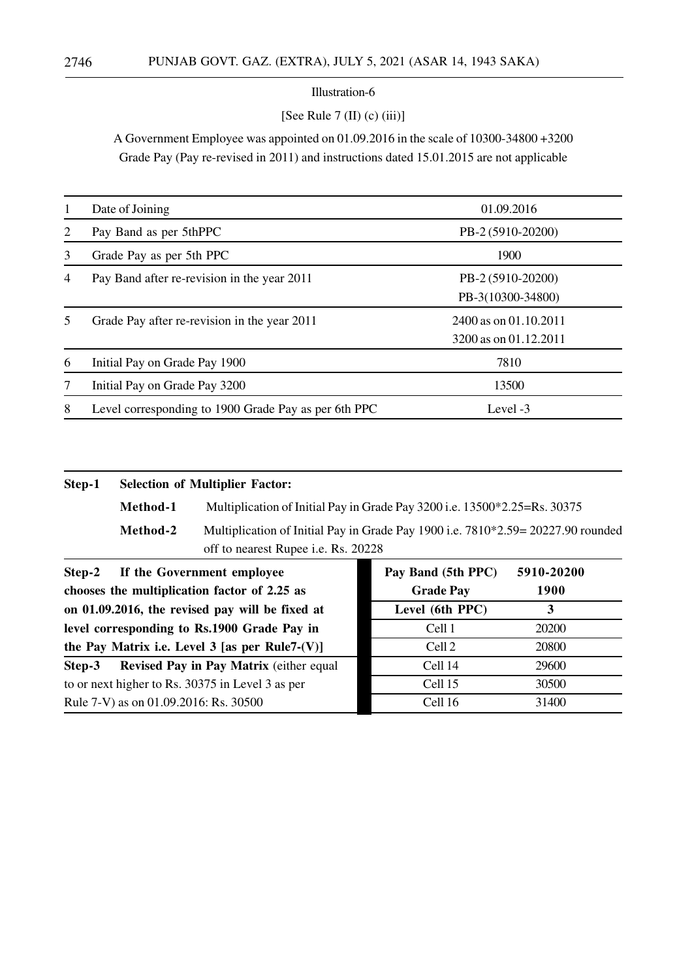#### [See Rule  $7$  (II) (c) (iii)]

A Government Employee was appointed on 01.09.2016 in the scale of 10300-34800 +3200 Grade Pay (Pay re-revised in 2011) and instructions dated 15.01.2015 are not applicable

|                | Date of Joining                                      | 01.09.2016                                     |
|----------------|------------------------------------------------------|------------------------------------------------|
| 2              | Pay Band as per 5thPPC                               | PB-2 (5910-20200)                              |
| 3              | Grade Pay as per 5th PPC                             | 1900                                           |
| $\overline{4}$ | Pay Band after re-revision in the year 2011          | PB-2 (5910-20200)<br>PB-3(10300-34800)         |
| 5              | Grade Pay after re-revision in the year 2011         | 2400 as on 01.10.2011<br>3200 as on 01.12.2011 |
| 6              | Initial Pay on Grade Pay 1900                        | 7810                                           |
| 7              | Initial Pay on Grade Pay 3200                        | 13500                                          |
| 8              | Level corresponding to 1900 Grade Pay as per 6th PPC | Level $-3$                                     |

#### **Step-1 Selection of Multiplier Factor:**

**Method-1** Multiplication of Initial Pay in Grade Pay 3200 i.e. 13500\*2.25=Rs. 30375

**Method-2** Multiplication of Initial Pay in Grade Pay 1900 i.e. 7810\*2.59= 20227.90 rounded off to nearest Rupee i.e. Rs. 20228

| Step-2 If the Government employee                 | Pay Band (5th PPC) | 5910-20200 |
|---------------------------------------------------|--------------------|------------|
| chooses the multiplication factor of 2.25 as      | <b>Grade Pay</b>   | 1900       |
| on 01.09.2016, the revised pay will be fixed at   | Level (6th PPC)    | 3          |
| level corresponding to Rs.1900 Grade Pay in       | Cell 1             | 20200      |
| the Pay Matrix i.e. Level $3$ [as per Rule7-(V)]  | Cell <sub>2</sub>  | 20800      |
| Revised Pay in Pay Matrix (either equal<br>Step-3 | Cell 14            | 29600      |
| to or next higher to Rs. 30375 in Level 3 as per  | Cell 15            | 30500      |
| Rule 7-V) as on 01.09.2016: Rs. 30500             | Cell 16            | 31400      |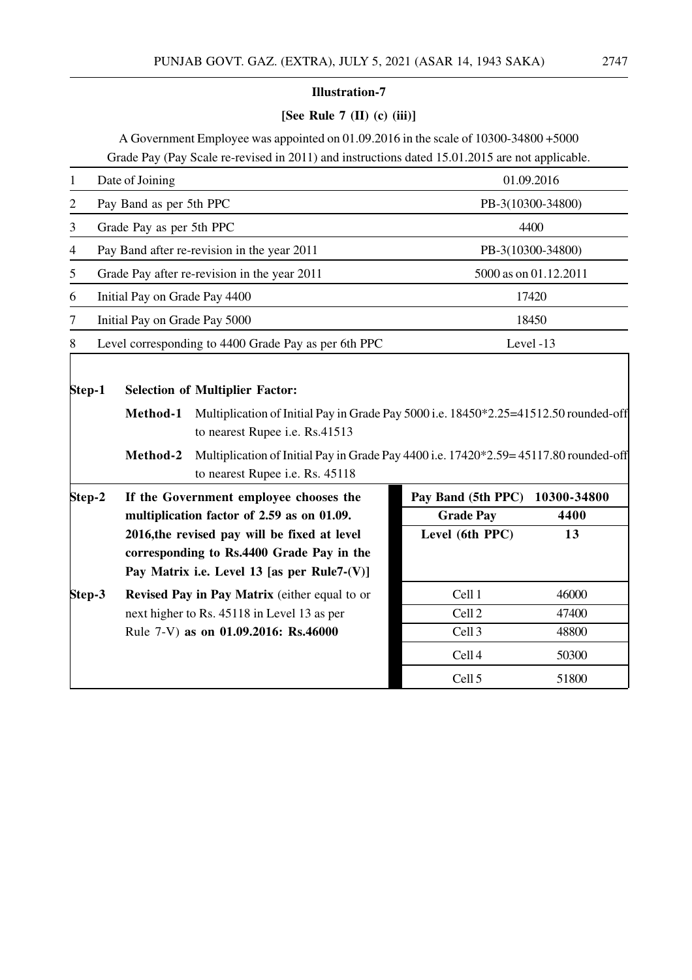# **[See Rule 7 (II) (c) (iii)]**

A Government Employee was appointed on 01.09.2016 in the scale of 10300-34800 +5000 Grade Pay (Pay Scale re-revised in 2011) and instructions dated 15.01.2015 are not applicable.

| $\mathbf{1}$             | Date of Joining                                                                                                                              |  |                                                                                                                                                                              | 01.09.2016        |  |
|--------------------------|----------------------------------------------------------------------------------------------------------------------------------------------|--|------------------------------------------------------------------------------------------------------------------------------------------------------------------------------|-------------------|--|
| $\overline{c}$           | Pay Band as per 5th PPC                                                                                                                      |  |                                                                                                                                                                              | PB-3(10300-34800) |  |
| 3                        | Grade Pay as per 5th PPC                                                                                                                     |  | 4400                                                                                                                                                                         |                   |  |
| $\overline{\mathcal{A}}$ | Pay Band after re-revision in the year 2011                                                                                                  |  |                                                                                                                                                                              | PB-3(10300-34800) |  |
| 5                        | Grade Pay after re-revision in the year 2011                                                                                                 |  | 5000 as on 01.12.2011                                                                                                                                                        |                   |  |
| 6                        | Initial Pay on Grade Pay 4400                                                                                                                |  |                                                                                                                                                                              | 17420             |  |
| 7                        | Initial Pay on Grade Pay 5000                                                                                                                |  |                                                                                                                                                                              | 18450             |  |
| 8                        | Level corresponding to 4400 Grade Pay as per 6th PPC                                                                                         |  |                                                                                                                                                                              | Level -13         |  |
| Step-1                   | <b>Selection of Multiplier Factor:</b><br>Method-1<br>to nearest Rupee i.e. Rs.41513<br>Method-2<br>to nearest Rupee i.e. Rs. 45118          |  | Multiplication of Initial Pay in Grade Pay 5000 i.e. 18450*2.25=41512.50 rounded-off<br>Multiplication of Initial Pay in Grade Pay 4400 i.e. 17420*2.59=45117.80 rounded-off |                   |  |
| Step-2                   | If the Government employee chooses the                                                                                                       |  | Pay Band (5th PPC)                                                                                                                                                           | 10300-34800       |  |
|                          | multiplication factor of 2.59 as on 01.09.                                                                                                   |  | <b>Grade Pay</b>                                                                                                                                                             | 4400              |  |
|                          | 2016, the revised pay will be fixed at level<br>corresponding to Rs.4400 Grade Pay in the<br>Pay Matrix i.e. Level 13 [as per Rule7- $(V)$ ] |  | Level (6th PPC)                                                                                                                                                              | 13                |  |
| Step-3                   | Revised Pay in Pay Matrix (either equal to or                                                                                                |  | Cell 1                                                                                                                                                                       | 46000             |  |
|                          | next higher to Rs. 45118 in Level 13 as per                                                                                                  |  | Cell <sub>2</sub>                                                                                                                                                            | 47400             |  |
|                          | Rule 7-V) as on 01.09.2016: Rs.46000                                                                                                         |  | Cell <sub>3</sub>                                                                                                                                                            | 48800             |  |
|                          |                                                                                                                                              |  | Cell <sub>4</sub>                                                                                                                                                            | 50300             |  |
|                          |                                                                                                                                              |  | Cell <sub>5</sub>                                                                                                                                                            | 51800             |  |
|                          |                                                                                                                                              |  |                                                                                                                                                                              |                   |  |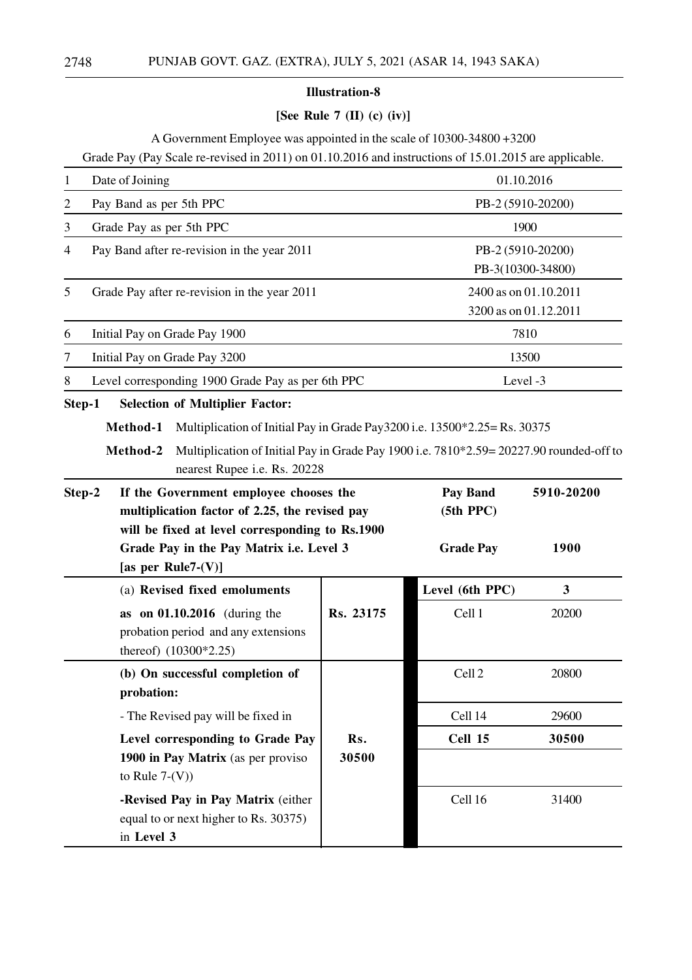# **[See Rule 7 (II) (c) (iv)]**

A Government Employee was appointed in the scale of 10300-34800 +3200

Grade Pay (Pay Scale re-revised in 2011) on 01.10.2016 and instructions of 15.01.2015 are applicable.

| 1                                                                                                  | Date of Joining                                                                                                                    |              | 01.10.2016            |                       |  |
|----------------------------------------------------------------------------------------------------|------------------------------------------------------------------------------------------------------------------------------------|--------------|-----------------------|-----------------------|--|
| $\overline{c}$                                                                                     | Pay Band as per 5th PPC                                                                                                            |              | PB-2 (5910-20200)     |                       |  |
| 3                                                                                                  | Grade Pay as per 5th PPC                                                                                                           |              |                       | 1900                  |  |
| 4                                                                                                  | Pay Band after re-revision in the year 2011                                                                                        |              |                       | PB-2 (5910-20200)     |  |
|                                                                                                    |                                                                                                                                    |              |                       | PB-3(10300-34800)     |  |
| 5                                                                                                  | Grade Pay after re-revision in the year 2011                                                                                       |              |                       | 2400 as on 01.10.2011 |  |
|                                                                                                    |                                                                                                                                    |              |                       | 3200 as on 01.12.2011 |  |
| 6                                                                                                  | Initial Pay on Grade Pay 1900                                                                                                      |              |                       | 7810                  |  |
| 7                                                                                                  | Initial Pay on Grade Pay 3200                                                                                                      |              |                       | 13500                 |  |
| 8                                                                                                  | Level corresponding 1900 Grade Pay as per 6th PPC                                                                                  |              |                       | Level -3              |  |
| Step-1                                                                                             | <b>Selection of Multiplier Factor:</b>                                                                                             |              |                       |                       |  |
|                                                                                                    | Method-1<br>Multiplication of Initial Pay in Grade Pay3200 i.e. 13500*2.25= Rs. 30375                                              |              |                       |                       |  |
|                                                                                                    | Multiplication of Initial Pay in Grade Pay 1900 i.e. 7810*2.59=20227.90 rounded-off to<br>Method-2<br>nearest Rupee i.e. Rs. 20228 |              |                       |                       |  |
| If the Government employee chooses the<br>Step-2<br>multiplication factor of 2.25, the revised pay |                                                                                                                                    |              | Pay Band<br>(5th PPC) | 5910-20200            |  |
|                                                                                                    | will be fixed at level corresponding to Rs.1900<br>Grade Pay in the Pay Matrix i.e. Level 3<br>[as per Rule7- $(V)$ ]              |              | <b>Grade Pay</b>      | 1900                  |  |
|                                                                                                    | (a) Revised fixed emoluments                                                                                                       |              | Level (6th PPC)       | $\mathbf{3}$          |  |
|                                                                                                    | as on $01.10.2016$ (during the<br>probation period and any extensions<br>thereof) (10300*2.25)                                     | Rs. 23175    | Cell 1                | 20200                 |  |
|                                                                                                    | (b) On successful completion of<br>probation:                                                                                      |              | Cell <sub>2</sub>     | 20800                 |  |
|                                                                                                    | - The Revised pay will be fixed in                                                                                                 |              | Cell 14               | 29600                 |  |
|                                                                                                    | Level corresponding to Grade Pay<br>1900 in Pay Matrix (as per proviso<br>to Rule $7-(V)$ )                                        | Rs.<br>30500 | Cell 15               | 30500                 |  |
|                                                                                                    | -Revised Pay in Pay Matrix (either<br>equal to or next higher to Rs. 30375)<br>in Level 3                                          |              | Cell 16               | 31400                 |  |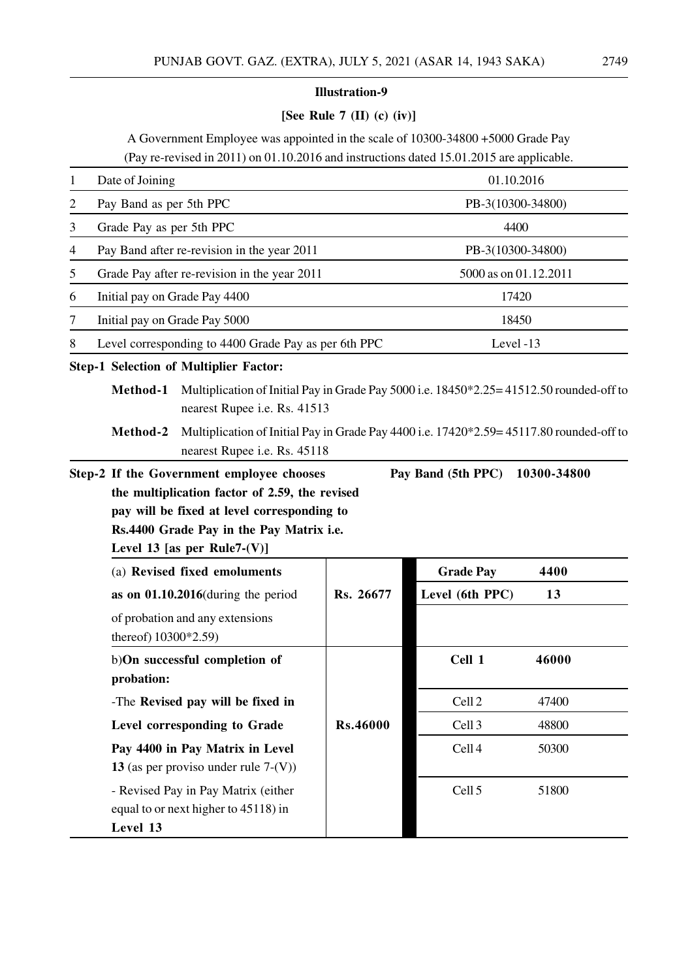# **[See Rule 7 (II) (c) (iv)]**

A Government Employee was appointed in the scale of 10300-34800 +5000 Grade Pay (Pay re-revised in 2011) on 01.10.2016 and instructions dated 15.01.2015 are applicable.

| 1              | Date of Joining               |                                                                                                                                                                                                                                                    |                 | 01.10.2016            |       |
|----------------|-------------------------------|----------------------------------------------------------------------------------------------------------------------------------------------------------------------------------------------------------------------------------------------------|-----------------|-----------------------|-------|
| $\overline{2}$ | Pay Band as per 5th PPC       |                                                                                                                                                                                                                                                    |                 | PB-3(10300-34800)     |       |
| 3              | Grade Pay as per 5th PPC      |                                                                                                                                                                                                                                                    |                 | 4400                  |       |
| 4              |                               | Pay Band after re-revision in the year 2011                                                                                                                                                                                                        |                 | PB-3(10300-34800)     |       |
| 5              |                               | Grade Pay after re-revision in the year 2011                                                                                                                                                                                                       |                 | 5000 as on 01.12.2011 |       |
| 6              | Initial pay on Grade Pay 4400 |                                                                                                                                                                                                                                                    |                 | 17420                 |       |
| 7              | Initial pay on Grade Pay 5000 |                                                                                                                                                                                                                                                    |                 | 18450                 |       |
| 8              |                               | Level corresponding to 4400 Grade Pay as per 6th PPC                                                                                                                                                                                               |                 | Level -13             |       |
|                |                               | <b>Step-1 Selection of Multiplier Factor:</b>                                                                                                                                                                                                      |                 |                       |       |
|                | Method-1<br>Method-2          | Multiplication of Initial Pay in Grade Pay 5000 i.e. 18450*2.25=41512.50 rounded-off to<br>nearest Rupee i.e. Rs. 41513<br>Multiplication of Initial Pay in Grade Pay 4400 i.e. 17420*2.59=45117.80 rounded-off to<br>nearest Rupee i.e. Rs. 45118 |                 |                       |       |
|                |                               | pay will be fixed at level corresponding to<br>Rs.4400 Grade Pay in the Pay Matrix i.e.<br>Level 13 [as per Rule7- $(V)$ ]                                                                                                                         |                 |                       |       |
|                |                               | (a) Revised fixed emoluments                                                                                                                                                                                                                       |                 | <b>Grade Pay</b>      | 4400  |
|                | thereof) 10300*2.59)          | as on $01.10.2016$ (during the period<br>of probation and any extensions                                                                                                                                                                           | Rs. 26677       | Level (6th PPC)       | 13    |
|                | probation:                    | b)On successful completion of                                                                                                                                                                                                                      |                 | Cell 1                | 46000 |
|                |                               | -The Revised pay will be fixed in                                                                                                                                                                                                                  |                 | Cell <sub>2</sub>     | 47400 |
|                |                               | Level corresponding to Grade                                                                                                                                                                                                                       | <b>Rs.46000</b> | Cell <sub>3</sub>     | 48800 |
|                |                               | Pay 4400 in Pay Matrix in Level<br>13 (as per proviso under rule $7-(V)$ )                                                                                                                                                                         |                 | Cell <sub>4</sub>     | 50300 |
|                | Level 13                      | - Revised Pay in Pay Matrix (either<br>equal to or next higher to 45118) in                                                                                                                                                                        |                 | Cell <sub>5</sub>     | 51800 |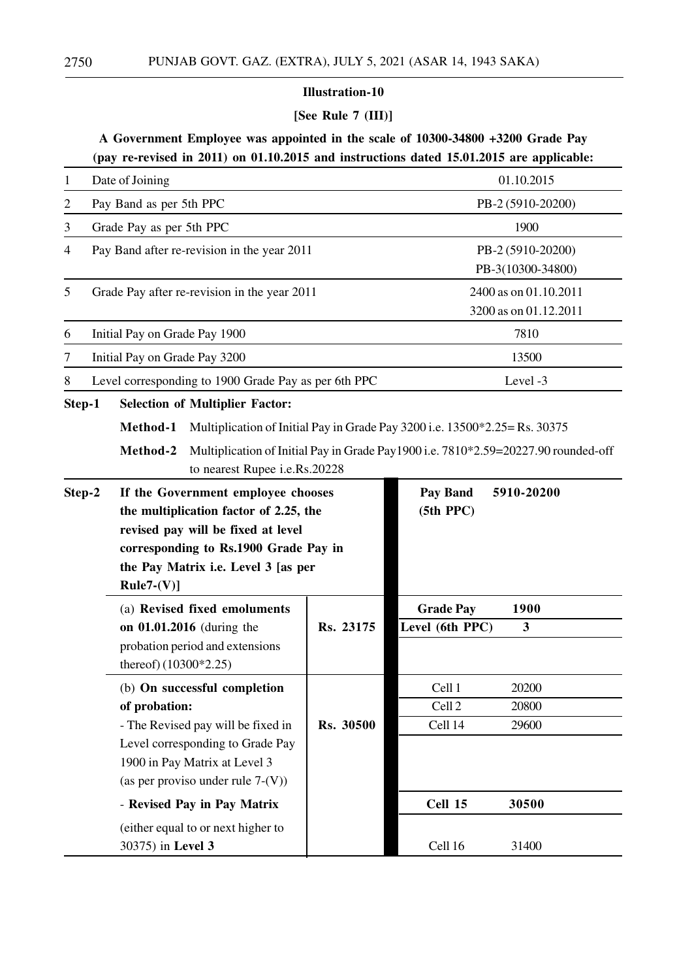# **[See Rule 7 (III)]**

# **A Government Employee was appointed in the scale of 10300-34800 +3200 Grade Pay (pay re-revised in 2011) on 01.10.2015 and instructions dated 15.01.2015 are applicable:**

| $\mathbf{1}$   |                                                                                                                                                                                                                    | Date of Joining               |                                                                                                                                                                                 |           | 01.10.2015                             |                                                                                    |  |
|----------------|--------------------------------------------------------------------------------------------------------------------------------------------------------------------------------------------------------------------|-------------------------------|---------------------------------------------------------------------------------------------------------------------------------------------------------------------------------|-----------|----------------------------------------|------------------------------------------------------------------------------------|--|
| $\overline{c}$ |                                                                                                                                                                                                                    | Pay Band as per 5th PPC       |                                                                                                                                                                                 |           |                                        | PB-2 (5910-20200)                                                                  |  |
| 3              |                                                                                                                                                                                                                    | Grade Pay as per 5th PPC      |                                                                                                                                                                                 |           | 1900                                   |                                                                                    |  |
| 4              |                                                                                                                                                                                                                    |                               | Pay Band after re-revision in the year 2011                                                                                                                                     |           |                                        | PB-2 (5910-20200)<br>PB-3(10300-34800)                                             |  |
| 5              | Grade Pay after re-revision in the year 2011                                                                                                                                                                       |                               |                                                                                                                                                                                 |           |                                        | 2400 as on 01.10.2011<br>3200 as on 01.12.2011                                     |  |
| 6              |                                                                                                                                                                                                                    | Initial Pay on Grade Pay 1900 |                                                                                                                                                                                 |           |                                        | 7810                                                                               |  |
| 7              |                                                                                                                                                                                                                    | Initial Pay on Grade Pay 3200 |                                                                                                                                                                                 |           |                                        | 13500                                                                              |  |
| 8              |                                                                                                                                                                                                                    |                               | Level corresponding to 1900 Grade Pay as per 6th PPC                                                                                                                            |           |                                        | Level -3                                                                           |  |
| Step-1         |                                                                                                                                                                                                                    |                               | <b>Selection of Multiplier Factor:</b>                                                                                                                                          |           |                                        |                                                                                    |  |
|                |                                                                                                                                                                                                                    | Method-1<br>Method-2          | Multiplication of Initial Pay in Grade Pay 3200 i.e. 13500*2.25 = Rs. 30375<br>to nearest Rupee i.e.Rs.20228                                                                    |           |                                        | Multiplication of Initial Pay in Grade Pay1900 i.e. 7810*2.59=20227.90 rounded-off |  |
| Step-2         | If the Government employee chooses<br>the multiplication factor of 2.25, the<br>revised pay will be fixed at level<br>corresponding to Rs.1900 Grade Pay in<br>the Pay Matrix i.e. Level 3 [as per<br>$Rule7-(V)]$ |                               |                                                                                                                                                                                 |           | Pay Band<br>(5th PPC)                  | 5910-20200                                                                         |  |
|                |                                                                                                                                                                                                                    | thereof) (10300*2.25)         | (a) Revised fixed emoluments<br>on 01.01.2016 (during the<br>probation period and extensions                                                                                    | Rs. 23175 | <b>Grade Pay</b><br>Level (6th PPC)    | 1900<br>3                                                                          |  |
|                |                                                                                                                                                                                                                    | of probation:                 | (b) On successful completion<br>- The Revised pay will be fixed in<br>Level corresponding to Grade Pay<br>1900 in Pay Matrix at Level 3<br>(as per proviso under rule $7-(V)$ ) | Rs. 30500 | Cell 1<br>Cell <sub>2</sub><br>Cell 14 | 20200<br>20800<br>29600                                                            |  |
|                |                                                                                                                                                                                                                    |                               | - Revised Pay in Pay Matrix                                                                                                                                                     |           | Cell 15                                | 30500                                                                              |  |
|                |                                                                                                                                                                                                                    | 30375) in Level 3             | (either equal to or next higher to                                                                                                                                              |           | Cell 16                                | 31400                                                                              |  |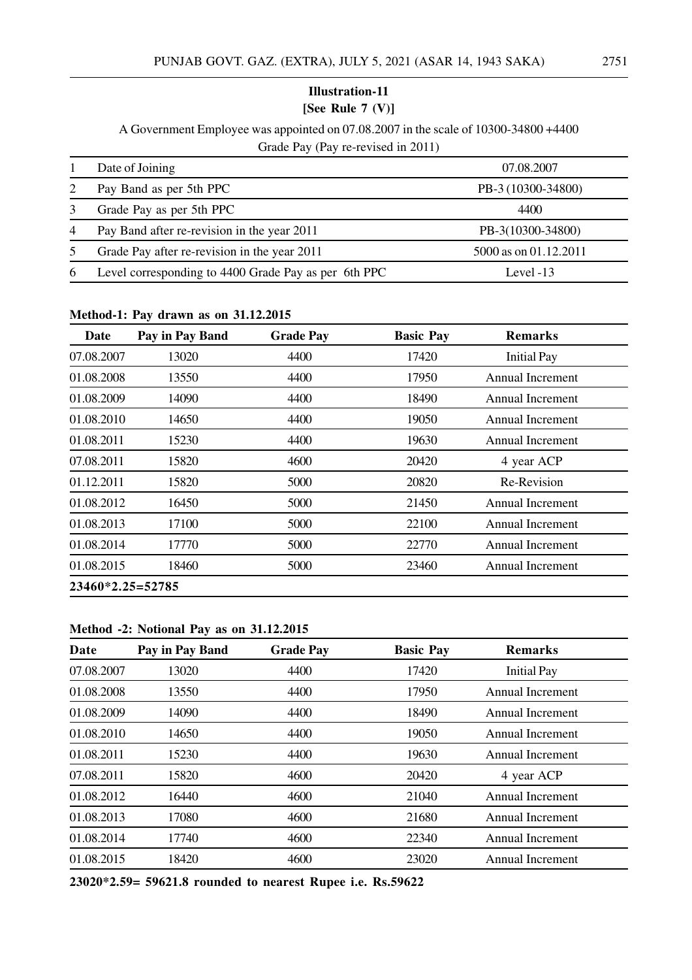# A Government Employee was appointed on 07.08.2007 in the scale of 10300-34800 +4400 Grade Pay (Pay re-revised in 2011)

|                | Date of Joining                                      | 07.08.2007            |
|----------------|------------------------------------------------------|-----------------------|
| 2              | Pay Band as per 5th PPC                              | PB-3 (10300-34800)    |
|                | Grade Pay as per 5th PPC                             | 4400                  |
| $\overline{4}$ | Pay Band after re-revision in the year 2011          | PB-3(10300-34800)     |
| 5              | Grade Pay after re-revision in the year 2011         | 5000 as on 01.12.2011 |
| 6              | Level corresponding to 4400 Grade Pay as per 6th PPC | Level $-13$           |

#### **Method-1: Pay drawn as on 31.12.2015**

| Date               | Pay in Pay Band | <b>Grade Pay</b> | <b>Basic Pay</b> | <b>Remarks</b>          |  |
|--------------------|-----------------|------------------|------------------|-------------------------|--|
| 07.08.2007         | 13020           | 4400             | 17420            | <b>Initial Pay</b>      |  |
| 01.08.2008         | 13550           | 4400             | 17950            | Annual Increment        |  |
| 01.08.2009         | 14090           | 4400             | 18490            | Annual Increment        |  |
| 01.08.2010         | 14650           | 4400             | 19050            | Annual Increment        |  |
| 01.08.2011         | 15230           | 4400             | 19630            | <b>Annual Increment</b> |  |
| 07.08.2011         | 15820           | 4600             | 20420            | 4 year ACP              |  |
| 01.12.2011         | 15820           | 5000             | 20820            | Re-Revision             |  |
| 01.08.2012         | 16450           | 5000             | 21450            | <b>Annual Increment</b> |  |
| 01.08.2013         | 17100           | 5000             | 22100            | Annual Increment        |  |
| 01.08.2014         | 17770           | 5000             | 22770            | Annual Increment        |  |
| 01.08.2015         | 18460           | 5000             | 23460            | <b>Annual Increment</b> |  |
| $23460*2.25=52785$ |                 |                  |                  |                         |  |

#### **Method -2: Notional Pay as on 31.12.2015**

| Date       | Pay in Pay Band | <b>Grade Pay</b> | <b>Basic Pay</b> | <b>Remarks</b>          |
|------------|-----------------|------------------|------------------|-------------------------|
| 07.08.2007 | 13020           | 4400             | 17420            | <b>Initial Pay</b>      |
| 01.08.2008 | 13550           | 4400             | 17950            | Annual Increment        |
| 01.08.2009 | 14090           | 4400             | 18490            | <b>Annual Increment</b> |
| 01.08.2010 | 14650           | 4400             | 19050            | Annual Increment        |
| 01.08.2011 | 15230           | 4400             | 19630            | Annual Increment        |
| 07.08.2011 | 15820           | 4600             | 20420            | 4 year ACP              |
| 01.08.2012 | 16440           | 4600             | 21040            | Annual Increment        |
| 01.08.2013 | 17080           | 4600             | 21680            | <b>Annual Increment</b> |
| 01.08.2014 | 17740           | 4600             | 22340            | <b>Annual Increment</b> |
| 01.08.2015 | 18420           | 4600             | 23020            | Annual Increment        |

**23020\*2.59= 59621.8 rounded to nearest Rupee i.e. Rs.59622**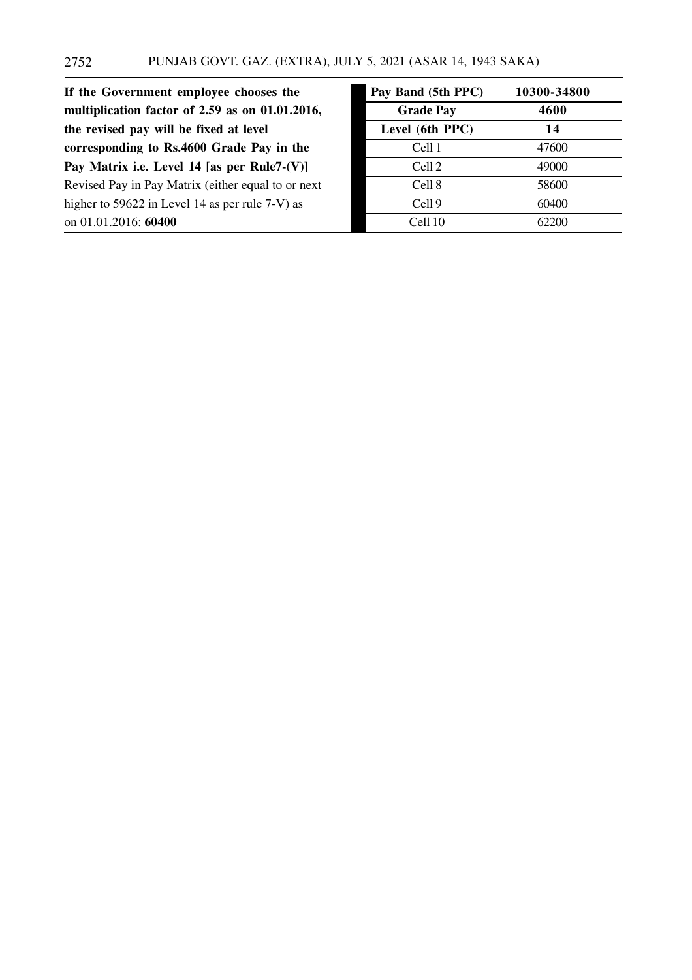| If the Government employee chooses the             | Pay Band (5th PPC) | 10300-34800 |
|----------------------------------------------------|--------------------|-------------|
| multiplication factor of 2.59 as on 01.01.2016,    | <b>Grade Pay</b>   | 4600        |
| the revised pay will be fixed at level             | Level (6th PPC)    | 14          |
| corresponding to Rs.4600 Grade Pay in the          | Cell 1             | 47600       |
| Pay Matrix i.e. Level 14 [as per Rule7- $(V)$ ]    | Cell <sub>2</sub>  | 49000       |
| Revised Pay in Pay Matrix (either equal to or next | Cell 8             | 58600       |
| higher to 59622 in Level 14 as per rule 7-V) as    | Cell <sub>9</sub>  | 60400       |
| on 01.01.2016: 60400                               | Cell 10            | 62200       |

| Pay Band (5th PPC) | 10300-34800 |
|--------------------|-------------|
| <b>Grade Pay</b>   | 4600        |
| Level (6th PPC)    | 14          |
| Cell 1             | 47600       |
| Cell 2             | 49000       |
| Cell 8             | 58600       |
| Cell <sub>9</sub>  | 60400       |
| Cell 10            | 62200       |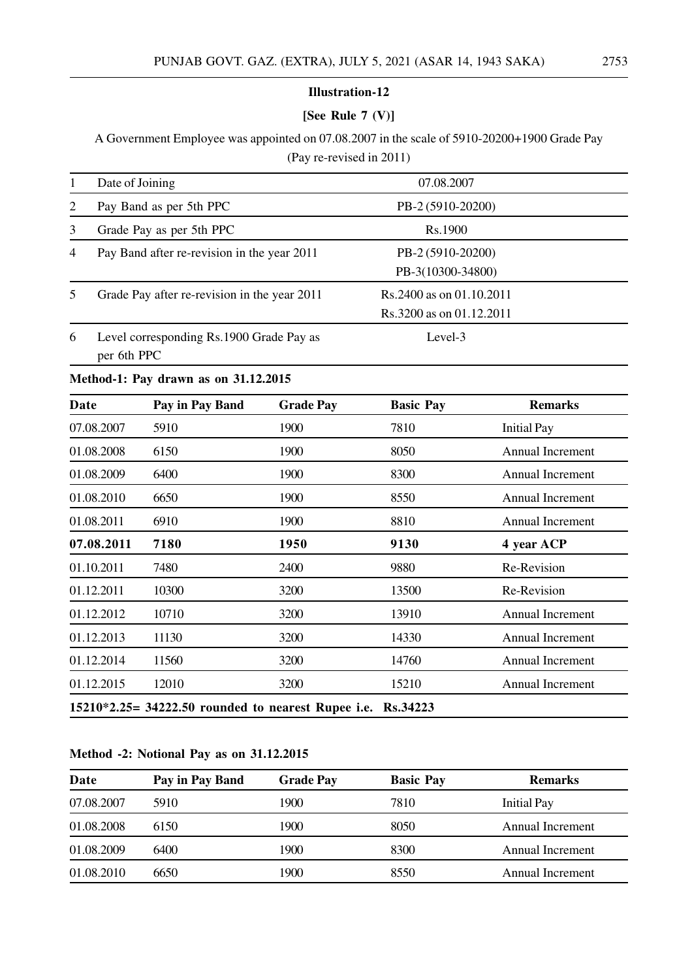# **[See Rule 7 (V)]**

A Government Employee was appointed on 07.08.2007 in the scale of 5910-20200+1900 Grade Pay (Pay re-revised in 2011)

|                | Date of Joining                                         | 07.08.2007                                            |  |
|----------------|---------------------------------------------------------|-------------------------------------------------------|--|
| 2              | Pay Band as per 5th PPC                                 | PB-2 (5910-20200)                                     |  |
| 3              | Grade Pay as per 5th PPC                                | Rs.1900                                               |  |
| $\overline{4}$ | Pay Band after re-revision in the year 2011             | PB-2 (5910-20200)<br>PB-3(10300-34800)                |  |
| 5              | Grade Pay after re-revision in the year 2011            | Rs. 2400 as on 01.10.2011<br>Rs.3200 as on 01.12.2011 |  |
| 6              | Level corresponding Rs.1900 Grade Pay as<br>per 6th PPC | Level-3                                               |  |

#### **Method-1: Pay drawn as on 31.12.2015**

| Date       | Pay in Pay Band                                             | <b>Grade Pay</b> | <b>Basic Pay</b> | <b>Remarks</b>          |
|------------|-------------------------------------------------------------|------------------|------------------|-------------------------|
| 07.08.2007 | 5910                                                        | 1900             | 7810             | <b>Initial Pay</b>      |
| 01.08.2008 | 6150                                                        | 1900             | 8050             | Annual Increment        |
| 01.08.2009 | 6400                                                        | 1900             | 8300             | <b>Annual Increment</b> |
| 01.08.2010 | 6650                                                        | 1900             | 8550             | <b>Annual Increment</b> |
| 01.08.2011 | 6910                                                        | 1900             | 8810             | <b>Annual Increment</b> |
| 07.08.2011 | 7180                                                        | 1950             | 9130             | 4 year ACP              |
| 01.10.2011 | 7480                                                        | 2400             | 9880             | Re-Revision             |
| 01.12.2011 | 10300                                                       | 3200             | 13500            | Re-Revision             |
| 01.12.2012 | 10710                                                       | 3200             | 13910            | Annual Increment        |
| 01.12.2013 | 11130                                                       | 3200             | 14330            | <b>Annual Increment</b> |
| 01.12.2014 | 11560                                                       | 3200             | 14760            | <b>Annual Increment</b> |
| 01.12.2015 | 12010                                                       | 3200             | 15210            | <b>Annual Increment</b> |
|            | 15210*2.25= 34222.50 rounded to nearest Rupee i.e. Rs.34223 |                  |                  |                         |

# **Method -2: Notional Pay as on 31.12.2015**

| Date       | Pay in Pay Band | <b>Grade Pay</b> | <b>Basic Pay</b> | <b>Remarks</b>     |
|------------|-----------------|------------------|------------------|--------------------|
| 07.08.2007 | 5910            | 1900             | 7810             | <b>Initial Pay</b> |
| 01.08.2008 | 6150            | 1900             | 8050             | Annual Increment   |
| 01.08.2009 | 6400            | 1900             | 8300             | Annual Increment   |
| 01.08.2010 | 6650            | 1900             | 8550             | Annual Increment   |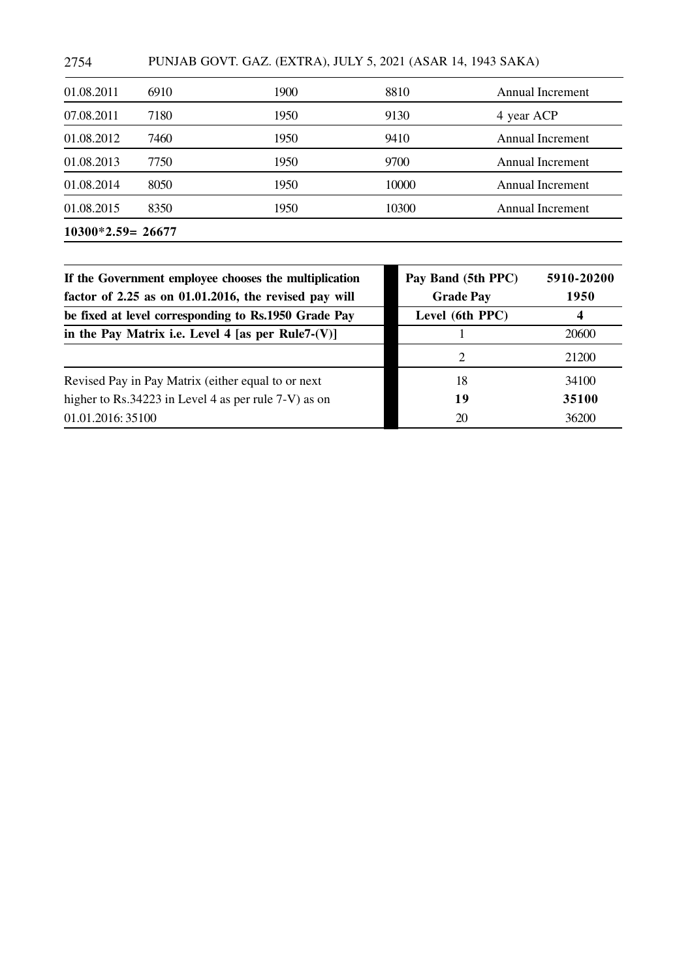2754 PUNJAB GOVT. GAZ. (EXTRA), JULY 5, 2021 (ASAR 14, 1943 SAKA)

| 7180<br>1950<br>9130<br>07.08.2011<br>7460<br>1950<br>9410<br>01.08.2012<br>7750<br>9700<br>1950<br>01.08.2013<br>8050<br>1950<br>10000<br>01.08.2014<br>8350<br>1950<br>10300<br>01.08.2015 | Annual Increment<br>Annual Increment<br>Annual Increment<br>Annual Increment |
|----------------------------------------------------------------------------------------------------------------------------------------------------------------------------------------------|------------------------------------------------------------------------------|
|                                                                                                                                                                                              |                                                                              |
|                                                                                                                                                                                              |                                                                              |
|                                                                                                                                                                                              |                                                                              |
|                                                                                                                                                                                              |                                                                              |
|                                                                                                                                                                                              | 4 year ACP                                                                   |
| 6910<br>8810<br>01.08.2011<br>1900                                                                                                                                                           | Annual Increment                                                             |

| If the Government employee chooses the multiplication<br>factor of 2.25 as on 01.01.2016, the revised pay will | Pay Band (5th PPC)<br><b>Grade Pay</b> | 5910-20200<br>1950 |  |
|----------------------------------------------------------------------------------------------------------------|----------------------------------------|--------------------|--|
| be fixed at level corresponding to Rs.1950 Grade Pay                                                           | Level (6th PPC)                        |                    |  |
| in the Pay Matrix i.e. Level 4 [as per Rule7- $(V)$ ]                                                          |                                        | 20600              |  |
|                                                                                                                | 2                                      | 21200              |  |
| Revised Pay in Pay Matrix (either equal to or next                                                             | 18                                     | 34100              |  |
| higher to Rs.34223 in Level 4 as per rule $7-V$ ) as on                                                        | 19                                     | 35100              |  |
| 01.01.2016: 35100                                                                                              | 20                                     | 36200              |  |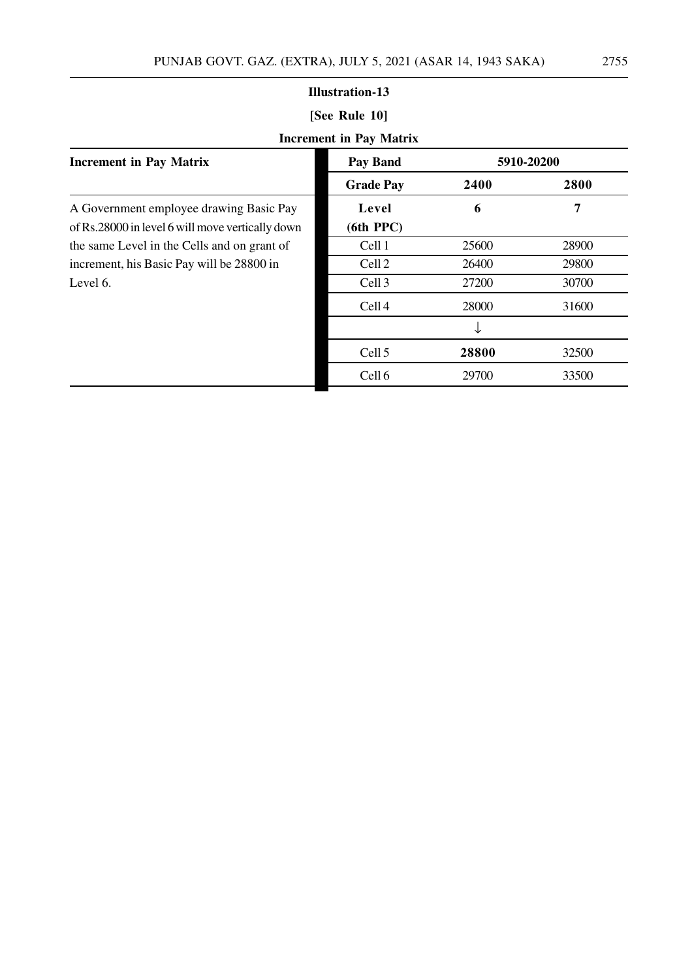|                                                                                             | <b>Illustration-13</b>         |       |            |  |
|---------------------------------------------------------------------------------------------|--------------------------------|-------|------------|--|
| [See Rule 10]                                                                               |                                |       |            |  |
|                                                                                             | <b>Increment in Pay Matrix</b> |       |            |  |
| <b>Increment in Pay Matrix</b>                                                              | <b>Pay Band</b>                |       | 5910-20200 |  |
|                                                                                             | <b>Grade Pay</b>               | 2400  | 2800       |  |
| A Government employee drawing Basic Pay<br>of Rs.28000 in level 6 will move vertically down | Level<br>$(6th$ PPC $)$        | 6     | 7          |  |
| the same Level in the Cells and on grant of                                                 | Cell 1                         | 25600 | 28900      |  |
| increment, his Basic Pay will be 28800 in                                                   | Cell 2                         | 26400 | 29800      |  |
| Level 6.                                                                                    | Cell <sub>3</sub>              | 27200 | 30700      |  |
|                                                                                             | Cell <sub>4</sub>              | 28000 | 31600      |  |
|                                                                                             |                                | ↓     |            |  |
|                                                                                             | Cell 5                         | 28800 | 32500      |  |
|                                                                                             | Cell 6                         | 29700 | 33500      |  |

ш,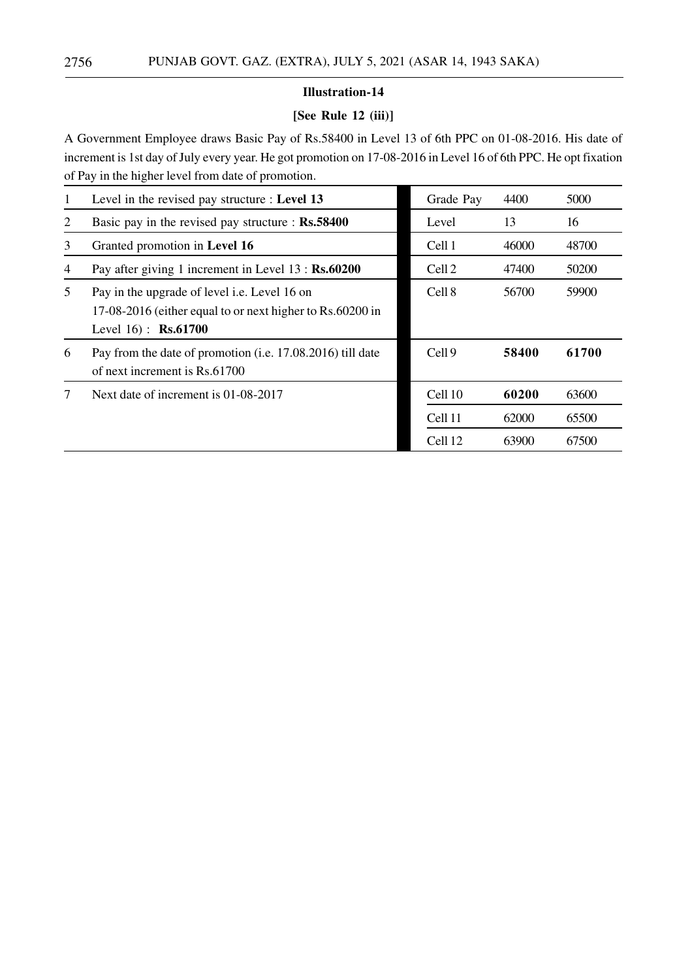# **[See Rule 12 (iii)]**

A Government Employee draws Basic Pay of Rs.58400 in Level 13 of 6th PPC on 01-08-2016. His date of increment is 1st day of July every year. He got promotion on 17-08-2016 in Level 16 of 6th PPC. He opt fixation of Pay in the higher level from date of promotion.

| 1 | Level in the revised pay structure : Level 13                                                                                      | Grade Pay         | 4400  | 5000  |
|---|------------------------------------------------------------------------------------------------------------------------------------|-------------------|-------|-------|
| 2 | Basic pay in the revised pay structure : Rs.58400                                                                                  | Level             | 13    | 16    |
| 3 | Granted promotion in Level 16                                                                                                      | Cell 1            | 46000 | 48700 |
| 4 | Pay after giving 1 increment in Level 13 : Rs.60200                                                                                | Cell <sub>2</sub> | 47400 | 50200 |
| 5 | Pay in the upgrade of level i.e. Level 16 on<br>17-08-2016 (either equal to or next higher to Rs.60200 in<br>Level $16$ : Rs.61700 | Cell 8            | 56700 | 59900 |
| 6 | Pay from the date of promotion (i.e. 17.08.2016) till date<br>of next increment is Rs.61700                                        | Cell <sub>9</sub> | 58400 | 61700 |
| 7 | Next date of increment is 01-08-2017                                                                                               | Cell 10           | 60200 | 63600 |
|   |                                                                                                                                    | Cell 11           | 62000 | 65500 |
|   |                                                                                                                                    | Cell 12           | 63900 | 67500 |